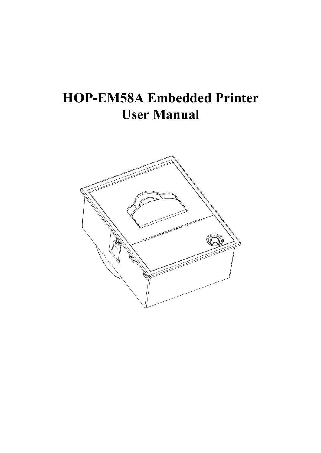# **HOP-EM58A Embedded Printer User Manual**

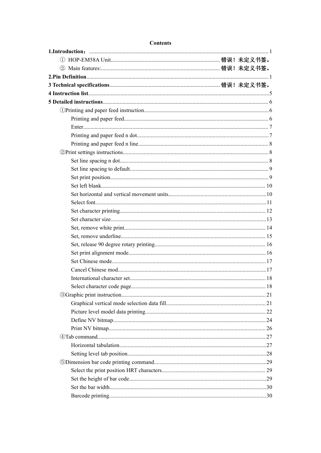#### **Contents**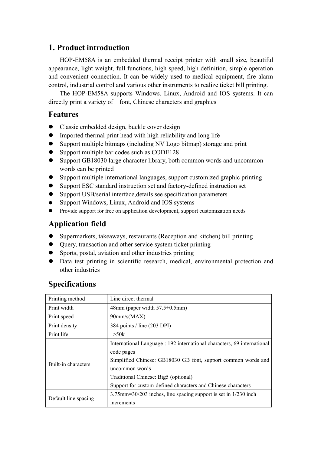#### <span id="page-3-1"></span><span id="page-3-0"></span>**1. Product introduction**

HOP-EM58A is an embedded thermal receipt printer with small size, beautiful appearance, light weight, full functions, high speed, high definition, simple operation and convenient connection. It can be widely used to medical equipment, fire alarm control, industrial control and various other instruments to realize ticket bill printing.

The HOP-EM58A supports Windows, Linux, Android and IOS systems. It can directly print a variety of font, Chinese characters and graphics

#### **Features**

- Classic embedded design, buckle cover design
- $\bullet$  Imported thermal print head with high reliability and long life
- Support multiple bitmaps (including NV Logo bitmap) storage and print
- Support multiple bar codes such as CODE128
- Support GB18030 large character library, both common words and uncommon words can be printed
- Support multiple international languages, support customized graphic printing
- Support ESC standard instruction set and factory-defined instruction set
- Support USB/serial interface,details see specification parameters
- Support Windows, Linux, Android and IOS systems
- Provide support for free on application development, support customization needs

#### **Application field**

- Supermarkets, takeaways, restaurants (Reception and kitchen) bill printing
- Query, transaction and other service system ticket printing
- Sports, postal, aviation and other industries printing
- Data test printing in scientific research, medical, environmental protection and other industries

| Printing method      | Line direct thermal                                                                                                                                                                                                                                                              |
|----------------------|----------------------------------------------------------------------------------------------------------------------------------------------------------------------------------------------------------------------------------------------------------------------------------|
| Print width          | 48mm (paper width $57.5 \pm 0.5$ mm)                                                                                                                                                                                                                                             |
| Print speed          | $90$ mm/s(MAX)                                                                                                                                                                                                                                                                   |
| Print density        | 384 points / line (203 DPI)                                                                                                                                                                                                                                                      |
| Print life           | >50k                                                                                                                                                                                                                                                                             |
| Built-in characters  | International Language : 192 international characters, 69 international<br>code pages<br>Simplified Chinese: GB18030 GB font, support common words and<br>uncommon words<br>Traditional Chinese: Big5 (optional)<br>Support for custom-defined characters and Chinese characters |
| Default line spacing | $3.75$ mm= $30/203$ inches, line spacing support is set in $1/230$ inch<br>increments                                                                                                                                                                                            |

#### **Specifications**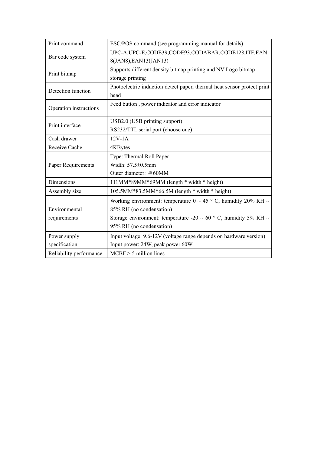| Print command           | ESC/POS command (see programming manual for details)                      |
|-------------------------|---------------------------------------------------------------------------|
| Bar code system         | UPC-A, UPC-E, CODE39, CODE93, CODABAR, CODE128, ITF, EAN                  |
|                         | 8(JAN8), EAN13(JAN13)                                                     |
| Print bitmap            | Supports different density bitmap printing and NV Logo bitmap             |
|                         | storage printing                                                          |
| Detection function      | Photoelectric induction detect paper, thermal heat sensor protect print   |
|                         | head                                                                      |
| Operation instructions  | Feed button, power indicator and error indicator                          |
|                         | USB2.0 (USB printing support)                                             |
| Print interface         | RS232/TTL serial port (choose one)                                        |
| Cash drawer             | $12V-1A$                                                                  |
| Receive Cache           | 4KBytes                                                                   |
|                         | Type: Thermal Roll Paper                                                  |
| Paper Requirements      | Width: $57.5 \pm 0.5$ mm                                                  |
|                         | Outer diameter: $\leq 60$ MM                                              |
| Dimensions              | 111MM*89MM*69MM (length * width * height)                                 |
| Assembly size           | 105.5MM*83.5MM*66.5M (length * width * height)                            |
|                         | Working environment: temperature 0 ~ 45 ° C, humidity 20% RH ~            |
| Environmental           | 85% RH (no condensation)                                                  |
| requirements            | Storage environment: temperature -20 $\sim$ 60 ° C, humidity 5% RH $\sim$ |
|                         | 95% RH (no condensation)                                                  |
| Power supply            | Input voltage: 9.6-12V (voltage range depends on hardware version)        |
| specification           | Input power: 24W, peak power 60W                                          |
| Reliability performance | $MCBF > 5$ million lines                                                  |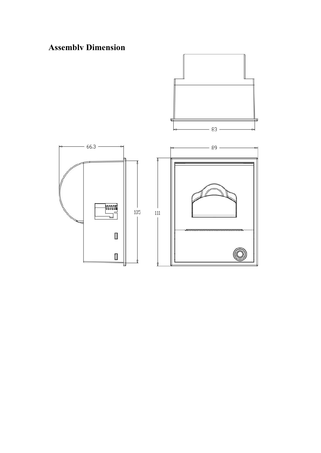### **Assembly Dimension**

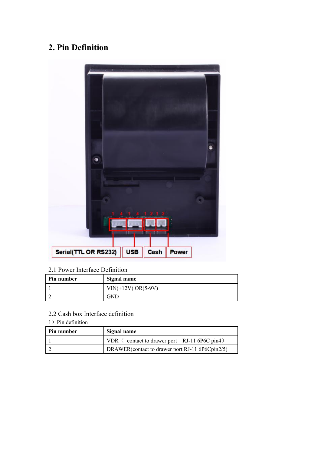### **2. Pin Definition**



#### 2.1 Power Interface Definition

| Pin number | Signal name          |
|------------|----------------------|
|            | $VIN(+12V) OR(5-9V)$ |
|            | GND                  |

#### 2.2 Cash box Interface definition

1) Pin definition

| <b>Pin number</b> | Signal name                                      |
|-------------------|--------------------------------------------------|
|                   | VDR<br>contact to drawer port $RJ-11$ 6P6C pin4) |
|                   | DRAWER(contact to drawer port RJ-11 6P6Cpin2/5)  |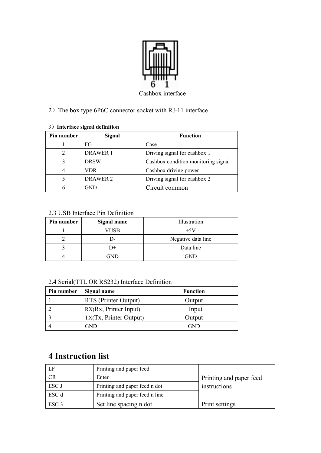

#### 2) The box type 6P6C connector socket with RJ-11 interface

#### 3)**Interface signal definition**

| Pin number | Signal          | <b>Function</b>                     |
|------------|-----------------|-------------------------------------|
|            | FG              | Case                                |
| 2          | <b>DRAWER 1</b> | Driving signal for cashbox 1        |
|            | <b>DRSW</b>     | Cashbox condition monitoring signal |
|            | VDR             | Cashbox driving power               |
|            | <b>DRAWER 2</b> | Driving signal for cashbox 2        |
|            | GND             | Circuit common                      |

#### 2.3 USB Interface Pin Definition

| Pin number | Signal name | Illustration       |
|------------|-------------|--------------------|
|            | VUSB        | $+5V$              |
|            | I )-        | Negative data line |
|            | $^{+}$      | Data line          |
|            | GND         | <b>GND</b>         |

#### 2.4 Serial(TTL OR RS232) Interface Definition

| Pin number | Signal name            | <b>Function</b> |
|------------|------------------------|-----------------|
|            | RTS (Printer Output)   | Output          |
|            | RX(Rx, Printer Input)  | Input           |
|            | TX(Tx, Printer Output) | Output          |
|            | GND                    | GND             |

#### <span id="page-7-0"></span>**4 Instruction list**

| LF               | Printing and paper feed        |                         |
|------------------|--------------------------------|-------------------------|
| <b>CR</b>        | Enter                          | Printing and paper feed |
| ESC J            | Printing and paper feed n dot  | instructions            |
| ESC d            | Printing and paper feed n line |                         |
| ESC <sub>3</sub> | Set line spacing n dot         | Print settings          |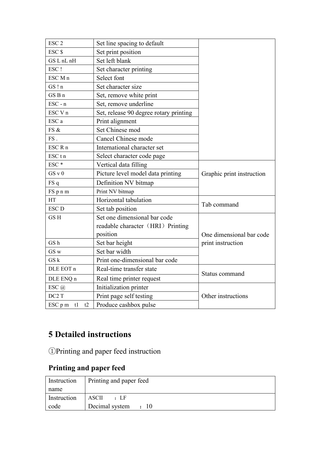| ESC <sub>2</sub>                   | Set line spacing to default            |                           |
|------------------------------------|----------------------------------------|---------------------------|
| ESC <sub>\$</sub>                  | Set print position                     |                           |
| GS L nL nH                         | Set left blank                         |                           |
| ESC!                               | Set character printing                 |                           |
| ESC M n                            | Select font                            |                           |
| GS!n                               | Set character size                     |                           |
| GS B n                             | Set, remove white print                |                           |
| $\text{ESC} - n$                   | Set, remove underline                  |                           |
| ESC V n                            | Set, release 90 degree rotary printing |                           |
| ESC a                              | Print alignment                        |                           |
| FS &                               | Set Chinese mod                        |                           |
| FS.                                | Cancel Chinese mode                    |                           |
| ESC R n                            | International character set            |                           |
| ESC <sub>tn</sub>                  | Select character code page             |                           |
| ESC <sup>*</sup>                   | Vertical data filling                  |                           |
| GS V0                              | Picture level model data printing      | Graphic print instruction |
| FS q                               | Definition NV bitmap                   |                           |
| FS p n m                           | Print NV bitmap                        |                           |
| HT                                 | Horizontal tabulation                  |                           |
| <b>ESC D</b>                       | Set tab position                       | Tab command               |
| GS <sub>H</sub>                    | Set one dimensional bar code           |                           |
|                                    | readable character (HRI) Printing      |                           |
|                                    | position                               | One dimensional bar code  |
| GS h                               | Set bar height                         | print instruction         |
| GS w                               | Set bar width                          |                           |
| GSk                                | Print one-dimensional bar code         |                           |
| DLE EOT n                          | Real-time transfer state               | Status command            |
| DLE ENQ n                          | Real time printer request              |                           |
| ESC @                              | Initialization printer                 |                           |
| DC <sub>2</sub> T                  | Print page self testing                | Other instructions        |
| $\text{ESC}\, \text{p m}$ tl<br>t2 | Produce cashbox pulse                  |                           |

### <span id="page-8-0"></span>**5 Detailed instructions**

<span id="page-8-1"></span>①Printing and paper feed instruction

### <span id="page-8-2"></span>**Printing and paper feed**

| Instruction | Printing and paper feed           |
|-------------|-----------------------------------|
| name        |                                   |
| Instruction | ASCII<br>$\cdot$ LF               |
| code        | Decimal system<br>$\therefore$ 10 |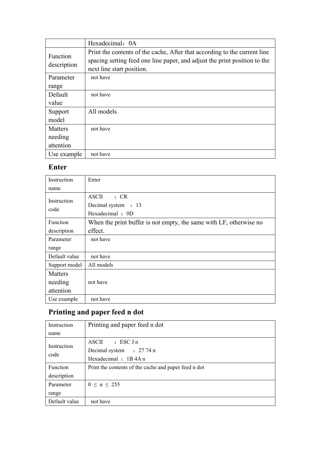|                         | Hexadecimal: 0A                                                                                                                                                                     |
|-------------------------|-------------------------------------------------------------------------------------------------------------------------------------------------------------------------------------|
| Function<br>description | Print the contents of the cache, After that according to the current line<br>spacing setting feed one line paper, and adjust the print position to the<br>next line start position. |
| Parameter               | not have                                                                                                                                                                            |
| range                   |                                                                                                                                                                                     |
| Default                 | not have                                                                                                                                                                            |
| value                   |                                                                                                                                                                                     |
| Support                 | All models                                                                                                                                                                          |
| model                   |                                                                                                                                                                                     |
| <b>Matters</b>          | not have                                                                                                                                                                            |
| needing                 |                                                                                                                                                                                     |
| attention               |                                                                                                                                                                                     |
| Use example             | not have                                                                                                                                                                            |

#### <span id="page-9-0"></span>**Enter**

| Instruction   | Enter                                                              |
|---------------|--------------------------------------------------------------------|
| name          |                                                                    |
| Instruction   | <b>ASCII</b><br>: CR                                               |
| code          | Decimal system : 13                                                |
|               | Hexadecimal: 0D                                                    |
| Function      | When the print buffer is not empty, the same with LF, otherwise no |
| description   | effect.                                                            |
| Parameter     | not have                                                           |
| range         |                                                                    |
| Default value | not have                                                           |
| Support model | All models                                                         |
| Matters       |                                                                    |
| needing       | not have                                                           |
| attention     |                                                                    |
| Use example   | not have                                                           |

# <span id="page-9-1"></span>**Printing and paper feed n dot**

| Instruction     | Printing and paper feed n dot                        |
|-----------------|------------------------------------------------------|
| name            |                                                      |
| Instruction     | $\text{ASCII}$ : ESC Jn                              |
|                 | Decimal system : 27 74 n                             |
| code            | Hexadecimal : 1B4A n                                 |
| <b>Function</b> | Print the contents of the cache and paper feed n dot |
| description     |                                                      |
| Parameter       | $0 \le n \le 255$                                    |
| range           |                                                      |
| Default value   | not have                                             |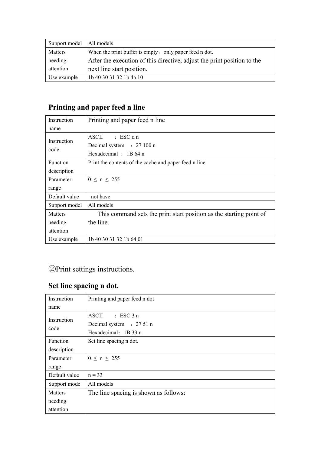| Support model   All models |                                                                         |
|----------------------------|-------------------------------------------------------------------------|
| Matters                    | When the print buffer is empty, only paper feed n dot.                  |
| needing                    | After the execution of this directive, adjust the print position to the |
| attention                  | next line start position.                                               |
| Use example                | 1b 40 30 31 32 1b 4a 10                                                 |

### <span id="page-10-0"></span>**Printing and paper feed n line**

| Instruction    | Printing and paper feed n line                                      |
|----------------|---------------------------------------------------------------------|
| name           |                                                                     |
|                | $:$ ESC d n<br><b>ASCII</b>                                         |
| Instruction    | Decimal system : 27 100 n                                           |
| code           | Hexadecimal : 1B 64 n                                               |
| Function       | Print the contents of the cache and paper feed n line               |
| description    |                                                                     |
| Parameter      | $0 \le n \le 255$                                                   |
| range          |                                                                     |
| Default value  | not have                                                            |
| Support model  | All models                                                          |
| <b>Matters</b> | This command sets the print start position as the starting point of |
| needing        | the line.                                                           |
| attention      |                                                                     |
| Use example    | 1b 40 30 31 32 1b 64 01                                             |

### <span id="page-10-1"></span>②Print settings instructions.

### <span id="page-10-2"></span>**Set line spacing n dot.**

| Instruction     | Printing and paper feed n dot         |
|-----------------|---------------------------------------|
| name            |                                       |
| Instruction     | <b>ASCII</b><br>$\cdot$ ESC 3 n       |
| code            | Decimal system : 27 51 n              |
|                 | Hexadecimal: 1B 33 n                  |
| <b>Function</b> | Set line spacing n dot.               |
| description     |                                       |
| Parameter       | $0 \le n \le 255$                     |
| range           |                                       |
| Default value   | $n = 33$                              |
| Support mode    | All models                            |
| Matters         | The line spacing is shown as follows: |
| needing         |                                       |
| attention       |                                       |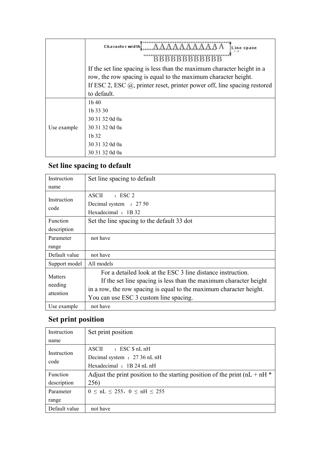|             | Character width<br>Line space<br><b>BBBBBBBBBBBB</b>                                                                                     |
|-------------|------------------------------------------------------------------------------------------------------------------------------------------|
|             | If the set line spacing is less than the maximum character height in a<br>row, the row spacing is equal to the maximum character height. |
|             | If ESC 2, ESC $\omega$ , printer reset, printer power off, line spacing restored                                                         |
|             | to default.                                                                                                                              |
| Use example | $1b$ 40                                                                                                                                  |
|             | 1b 33 30                                                                                                                                 |
|             | 30 31 32 0d 0a                                                                                                                           |
|             | 30 31 32 0d 0a                                                                                                                           |
|             | $1b$ 32                                                                                                                                  |
|             | 30 31 32 0d 0a                                                                                                                           |
|             | 30 31 32 0d 0a                                                                                                                           |

# <span id="page-11-0"></span>**Set line spacing to default**

| Instruction                            | Set line spacing to default                                                                                                                                                                                                                       |
|----------------------------------------|---------------------------------------------------------------------------------------------------------------------------------------------------------------------------------------------------------------------------------------------------|
| name                                   |                                                                                                                                                                                                                                                   |
| Instruction                            | $\pm$ ESC 2<br><b>ASCII</b>                                                                                                                                                                                                                       |
| code                                   | Decimal system : 27 50                                                                                                                                                                                                                            |
|                                        | Hexadecimal : 1B 32                                                                                                                                                                                                                               |
| Function                               | Set the line spacing to the default 33 dot                                                                                                                                                                                                        |
| description                            |                                                                                                                                                                                                                                                   |
| Parameter                              | not have                                                                                                                                                                                                                                          |
| range                                  |                                                                                                                                                                                                                                                   |
| Default value                          | not have                                                                                                                                                                                                                                          |
| Support model                          | All models                                                                                                                                                                                                                                        |
| <b>Matters</b><br>needing<br>attention | For a detailed look at the ESC 3 line distance instruction.<br>If the set line spacing is less than the maximum character height<br>in a row, the row spacing is equal to the maximum character height.<br>You can use ESC 3 custom line spacing. |
| Use example                            | not have                                                                                                                                                                                                                                          |

### <span id="page-11-1"></span>**Set print position**

| Instruction         | Set print position                                                            |
|---------------------|-------------------------------------------------------------------------------|
| name                |                                                                               |
| Instruction<br>code | $:$ ESC $$nLnH$<br>ASCII                                                      |
|                     | Decimal system : 27 36 nL nH                                                  |
|                     | Hexadecimal : 1B 24 nL nH                                                     |
| <b>Function</b>     | Adjust the print position to the starting position of the print ( $nL + nH^*$ |
| description         | 256)                                                                          |
| Parameter           | $0 \leq nL \leq 255$ , $0 \leq nH \leq 255$                                   |
| range               |                                                                               |
| Default value       | not have                                                                      |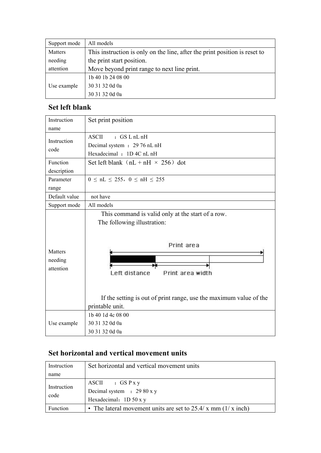| Support mode | All models                                                                 |
|--------------|----------------------------------------------------------------------------|
| Matters      | This instruction is only on the line, after the print position is reset to |
| needing      | the print start position.                                                  |
| attention    | Move beyond print range to next line print.                                |
|              | 1b 40 1b 24 08 00                                                          |
| Use example  | 30 31 32 0d 0a                                                             |
|              | 30 31 32 0d 0a                                                             |

### <span id="page-12-0"></span>**Set left blank**

| Instruction                     | Set print position                                                                                                                                                                                        |
|---------------------------------|-----------------------------------------------------------------------------------------------------------------------------------------------------------------------------------------------------------|
| name                            |                                                                                                                                                                                                           |
|                                 | <b>ASCII</b><br>$:$ GS $L$ nL nH                                                                                                                                                                          |
| Instruction<br>code             | Decimal system : 29 76 nL nH                                                                                                                                                                              |
|                                 | Hexadecimal : 1D 4C nL nH                                                                                                                                                                                 |
| Function                        | Set left blank $(nL + nH \times 256)$ dot                                                                                                                                                                 |
| description                     |                                                                                                                                                                                                           |
| Parameter                       | $0 \le nL \le 255$ , $0 \le nH \le 255$                                                                                                                                                                   |
| range                           |                                                                                                                                                                                                           |
| Default value                   | not have                                                                                                                                                                                                  |
| Support mode                    | All models                                                                                                                                                                                                |
| Matters<br>needing<br>attention | This command is valid only at the start of a row.<br>The following illustration:<br>Print area<br>Left distance<br>Print area width<br>If the setting is out of print range, use the maximum value of the |
|                                 | printable unit.<br>1b 40 1d 4c 08 00                                                                                                                                                                      |
| Use example                     | 30 31 32 0d 0a                                                                                                                                                                                            |
|                                 | 30 31 32 0d 0a                                                                                                                                                                                            |
|                                 |                                                                                                                                                                                                           |

#### <span id="page-12-1"></span>**Set horizontal and vertical movement units**

| Instruction         | Set horizontal and vertical movement units                       |
|---------------------|------------------------------------------------------------------|
| name                |                                                                  |
|                     | $ASCI$ : $GS Pxy$                                                |
| Instruction<br>code | Decimal system $\therefore$ 29 80 x y                            |
|                     | Hexadecimal: $1D\ 50xy$                                          |
| <b>Function</b>     | • The lateral movement units are set to $25.4/x$ mm $(1/x$ inch) |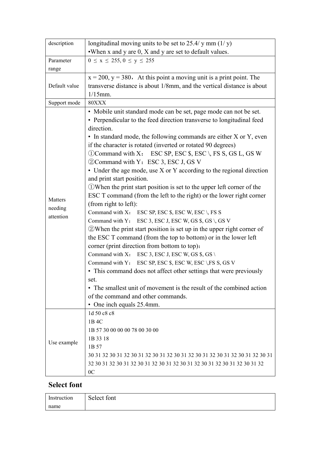| description   | longitudinal moving units to be set to 25.4/ y mm $(1/y)$                     |
|---------------|-------------------------------------------------------------------------------|
|               | • When $x$ and $y$ are $0$ , $X$ and $y$ are set to default values.           |
| Parameter     | $0 \le x \le 255, 0 \le y \le 255$                                            |
| range         |                                                                               |
|               | $x = 200$ , $y = 380$ . At this point a moving unit is a print point. The     |
| Default value | transverse distance is about 1/8mm, and the vertical distance is about        |
|               | $1/15$ mm.                                                                    |
| Support mode  | 80XXX                                                                         |
|               | · Mobile unit standard mode can be set, page mode can not be set.             |
|               | • Perpendicular to the feed direction transverse to longitudinal feed         |
|               | direction.                                                                    |
|               | • In standard mode, the following commands are either X or Y, even            |
|               | if the character is rotated (inverted or rotated 90 degrees)                  |
|               | 1 Command with X: ESC SP, ESC \$, ESC \, FS S, GS L, GS W                     |
|               | 2 Command with Y: ESC 3, ESC J, GS V                                          |
|               | • Under the age mode, use X or Y according to the regional direction          |
|               | and print start position.                                                     |
|               | 1) When the print start position is set to the upper left corner of the       |
|               | ESC T command (from the left to the right) or the lower right corner          |
| Matters       | (from right to left):                                                         |
| needing       | Command with X: ESC SP, ESC \$, ESC W, ESC \, FS S                            |
| attention     | Command with Y: ESC 3, ESC J, ESC W, GS \$, GS \, GS V                        |
|               | $Q$ When the print start position is set up in the upper right corner of      |
|               | the ESC T command (from the top to bottom) or in the lower left               |
|               | corner (print direction from bottom to top):                                  |
|               | Command with X: ESC 3, ESC J, ESC W, GS $\S$ , GS \                           |
|               | Command with Y: ESC SP, ESC \$, ESC W, ESC \, FS S, GS V                      |
|               | • This command does not affect other settings that were previously            |
|               | set.                                                                          |
|               | • The smallest unit of movement is the result of the combined action          |
|               | of the command and other commands.                                            |
|               | • One inch equals 25.4mm.                                                     |
|               | 1d 50 c8 c8                                                                   |
|               | 1B 4C                                                                         |
|               |                                                                               |
|               | 1B 57 30 00 00 00 78 00 30 00                                                 |
| Use example   | 1B 33 18                                                                      |
|               | 1B 57                                                                         |
|               | 30 31 32 30 31 32 30 31 32 30 31 32 30 31 32 30 31 32 30 31 32 30 31 32 30 31 |
|               | 32 30 31 32 30 31 32 30 31 32 30 31 32 30 31 32 30 31 32 30 31 32 30 31 32    |
|               | 0 <sup>C</sup>                                                                |

#### <span id="page-13-0"></span>**Select font**

| Instruction | $\Omega$ 1<br>Select font |
|-------------|---------------------------|
| name        |                           |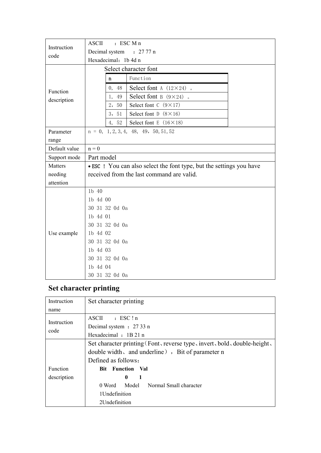| Instruction   | <b>ASCII</b>             |                | $:$ ESC M n                                                          |  |  |  |  |
|---------------|--------------------------|----------------|----------------------------------------------------------------------|--|--|--|--|
| code          | Decimal system : 27 77 n |                |                                                                      |  |  |  |  |
|               | Hexadecimal: 1b 4d n     |                |                                                                      |  |  |  |  |
|               | Select character font    |                |                                                                      |  |  |  |  |
|               |                          | n              | Function                                                             |  |  |  |  |
| Function      |                          | 0, 48          | Select font A $(12 \times 24)$ .                                     |  |  |  |  |
| description   |                          | 1, 49          | Select font B $(9 \times 24)$ .                                      |  |  |  |  |
|               |                          | 2, 50          | Select font $C(9\times17)$                                           |  |  |  |  |
|               |                          | 3, 51          | Select font $D(8\times16)$                                           |  |  |  |  |
|               |                          | 4, 52          | Select font E $(16 \times 18)$                                       |  |  |  |  |
| Parameter     |                          |                | $n = 0, 1, 2, 3, 4, 48, 49, 50, 51, 52$                              |  |  |  |  |
| range         |                          |                |                                                                      |  |  |  |  |
| Default value | $n = 0$                  |                |                                                                      |  |  |  |  |
| Support mode  | Part model               |                |                                                                      |  |  |  |  |
| Matters       |                          |                | • ESC ! You can also select the font type, but the settings you have |  |  |  |  |
| needing       |                          |                | received from the last command are valid.                            |  |  |  |  |
| attention     |                          |                |                                                                      |  |  |  |  |
|               | 1b 40                    |                |                                                                      |  |  |  |  |
|               | 1b 4d 00                 |                |                                                                      |  |  |  |  |
|               | 30 31 32 0d 0a           |                |                                                                      |  |  |  |  |
|               | 1b 4d 01                 |                |                                                                      |  |  |  |  |
|               |                          | 30 31 32 0d 0a |                                                                      |  |  |  |  |
| Use example   | 1b 4d 02                 |                |                                                                      |  |  |  |  |
|               | 30 31 32 0d 0a           |                |                                                                      |  |  |  |  |
|               | 1b 4d 03                 |                |                                                                      |  |  |  |  |
|               |                          | 30 31 32 0d 0a |                                                                      |  |  |  |  |
|               | 1b 4d 04                 |                |                                                                      |  |  |  |  |
|               | 30 31 32 Od Oa           |                |                                                                      |  |  |  |  |

# <span id="page-14-0"></span>**Set character printing**

| Instruction | Set character printing                                                   |  |  |  |  |  |
|-------------|--------------------------------------------------------------------------|--|--|--|--|--|
| name        |                                                                          |  |  |  |  |  |
|             | ASCII<br>$:$ ESC $!$ n                                                   |  |  |  |  |  |
| Instruction | Decimal system : 27 33 n                                                 |  |  |  |  |  |
| code        | Hexadecimal : 1B 21 n                                                    |  |  |  |  |  |
|             | Set character printing (Font, reverse type, invert, bold, double-height, |  |  |  |  |  |
|             | double width, and underline $\theta$ , Bit of parameter n                |  |  |  |  |  |
|             | Defined as follows:                                                      |  |  |  |  |  |
| Function    | <b>Bit Function Val</b>                                                  |  |  |  |  |  |
| description | $\mathbf{0}$<br>$\blacksquare$                                           |  |  |  |  |  |
|             | Model<br>Normal Small character<br>0 Word                                |  |  |  |  |  |
|             | 1Undefinition                                                            |  |  |  |  |  |
|             | 2Undefinition                                                            |  |  |  |  |  |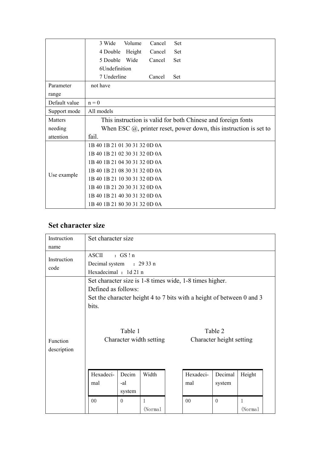|               | 3 Wide<br>Volume<br>Set<br>Cancel                                      |  |  |  |  |  |  |
|---------------|------------------------------------------------------------------------|--|--|--|--|--|--|
|               | 4 Double<br>Height<br>Cancel<br>Set                                    |  |  |  |  |  |  |
|               | 5 Double<br>Wide<br>Cancel<br>Set                                      |  |  |  |  |  |  |
|               | 6Undefinition                                                          |  |  |  |  |  |  |
|               | 7 Underline<br>Set<br>Cancel                                           |  |  |  |  |  |  |
| Parameter     | not have                                                               |  |  |  |  |  |  |
| range         |                                                                        |  |  |  |  |  |  |
| Default value | $n = 0$                                                                |  |  |  |  |  |  |
| Support mode  | All models                                                             |  |  |  |  |  |  |
| Matters       | This instruction is valid for both Chinese and foreign fonts           |  |  |  |  |  |  |
| needing       | When ESC $(a)$ , printer reset, power down, this instruction is set to |  |  |  |  |  |  |
| attention     | fail.                                                                  |  |  |  |  |  |  |
|               | 1B 40 1B 21 01 30 31 32 0D 0A                                          |  |  |  |  |  |  |
|               | 1B 40 1B 21 02 30 31 32 0D 0A                                          |  |  |  |  |  |  |
|               | 1B 40 1B 21 04 30 31 32 0D 0A                                          |  |  |  |  |  |  |
| Use example   | 1B 40 1B 21 08 30 31 32 0D 0A                                          |  |  |  |  |  |  |
|               | 1B 40 1B 21 10 30 31 32 0D 0A                                          |  |  |  |  |  |  |
|               | 1B 40 1B 21 20 30 31 32 0D 0A                                          |  |  |  |  |  |  |
|               | 1B 40 1B 21 40 30 31 32 0D 0A                                          |  |  |  |  |  |  |
|               | 1B 40 1B 21 80 30 31 32 0D 0A                                          |  |  |  |  |  |  |

#### <span id="page-15-0"></span>**Set character size**

| Instruction                 | Set character size                                                          |                        |                         |  |                                                                                                                                  |                                     |         |  |
|-----------------------------|-----------------------------------------------------------------------------|------------------------|-------------------------|--|----------------------------------------------------------------------------------------------------------------------------------|-------------------------------------|---------|--|
| name<br>Instruction<br>code | :GS!n<br><b>ASCII</b><br>Decimal system<br>: 2933n<br>Hexadecimal : 1d 21 n |                        |                         |  |                                                                                                                                  |                                     |         |  |
| Function<br>description     | Defined as follows:<br>bits.                                                | Table 1                | Character width setting |  | Set character size is 1-8 times wide, 1-8 times higher.<br>Set the character height 4 to 7 bits with a height of between 0 and 3 | Table 2<br>Character height setting |         |  |
|                             | Hexadeci-<br>mal                                                            | Decim<br>-al<br>system | Width                   |  | Hexadeci-<br>mal                                                                                                                 | Decimal<br>system                   | Height  |  |
|                             | $00\,$                                                                      | $\theta$               | 1<br>(Normal            |  | $00\,$                                                                                                                           | $\theta$                            | (Normal |  |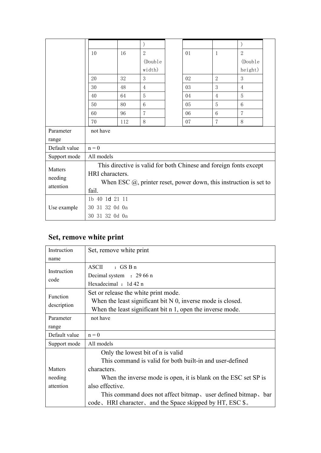|               | 10                                                                     | 16  | $\overline{2}$ |  | 01 | $\mathbf{1}$   | $\overline{2}$  |  |  |
|---------------|------------------------------------------------------------------------|-----|----------------|--|----|----------------|-----------------|--|--|
|               |                                                                        |     | (Double        |  |    |                | (Double         |  |  |
|               |                                                                        |     | width)         |  |    |                | height)         |  |  |
|               | 20                                                                     | 32  | 3              |  | 02 | $\overline{2}$ | 3               |  |  |
|               | 30                                                                     | 48  | $\overline{4}$ |  | 03 | 3              | $\overline{4}$  |  |  |
|               | 40                                                                     | 64  | 5              |  | 04 | $\overline{4}$ | 5               |  |  |
|               | 50                                                                     | 80  | $6\,$          |  | 05 | 5              | $6\phantom{1}6$ |  |  |
|               | 60                                                                     | 96  | $\overline{7}$ |  | 06 | 6              | $\overline{7}$  |  |  |
|               | 70                                                                     | 112 | 8              |  | 07 | $\overline{7}$ | 8               |  |  |
| Parameter     | not have                                                               |     |                |  |    |                |                 |  |  |
| range         |                                                                        |     |                |  |    |                |                 |  |  |
| Default value | $n = 0$                                                                |     |                |  |    |                |                 |  |  |
| Support mode  | All models                                                             |     |                |  |    |                |                 |  |  |
| Matters       | This directive is valid for both Chinese and foreign fonts except      |     |                |  |    |                |                 |  |  |
| needing       | HRI characters.                                                        |     |                |  |    |                |                 |  |  |
| attention     | When ESC $(a)$ , printer reset, power down, this instruction is set to |     |                |  |    |                |                 |  |  |
|               | fail.                                                                  |     |                |  |    |                |                 |  |  |
|               | 1b 40 1d 21 11                                                         |     |                |  |    |                |                 |  |  |
| Use example   | 30 31 32 0d 0a                                                         |     |                |  |    |                |                 |  |  |
|               | 30 31 32 0d 0a                                                         |     |                |  |    |                |                 |  |  |

# <span id="page-16-0"></span>**Set, remove white print**

| Instruction   |                                                                 |  |  |  |  |  |
|---------------|-----------------------------------------------------------------|--|--|--|--|--|
|               | Set, remove white print                                         |  |  |  |  |  |
| name          |                                                                 |  |  |  |  |  |
|               | $\cdot$ GS B n<br><b>ASCII</b>                                  |  |  |  |  |  |
| Instruction   | Decimal system : 29 66 n                                        |  |  |  |  |  |
| code          | Hexadecimal : 1d 42 n                                           |  |  |  |  |  |
|               | Set or release the white print mode.                            |  |  |  |  |  |
| Function      | When the least significant bit $N$ 0, inverse mode is closed.   |  |  |  |  |  |
| description   | When the least significant bit $n$ 1, open the inverse mode.    |  |  |  |  |  |
| Parameter     | not have                                                        |  |  |  |  |  |
| range         |                                                                 |  |  |  |  |  |
| Default value | $n = 0$                                                         |  |  |  |  |  |
| Support mode  | All models                                                      |  |  |  |  |  |
|               | Only the lowest bit of n is valid                               |  |  |  |  |  |
|               | This command is valid for both built-in and user-defined        |  |  |  |  |  |
| Matters       | characters.                                                     |  |  |  |  |  |
| needing       | When the inverse mode is open, it is blank on the ESC set SP is |  |  |  |  |  |
| attention     | also effective.                                                 |  |  |  |  |  |
|               | This command does not affect bitmap, user defined bitmap, bar   |  |  |  |  |  |
|               | code, HRI character, and the Space skipped by HT, ESC \$.       |  |  |  |  |  |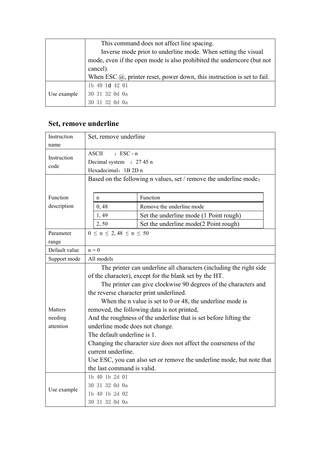|             | This command does not affect line spacing.                                              |
|-------------|-----------------------------------------------------------------------------------------|
|             | Inverse mode prior to underline mode. When setting the visual                           |
|             | mode, even if the open mode is also prohibited the underscore (but not                  |
|             | cancel).                                                                                |
|             | When ESC $(\hat{\omega})$ , printer reset, power down, this instruction is set to fail. |
|             | 1b 40 1d 42 01                                                                          |
| Use example | 30 31 32 Od Oa                                                                          |
|             | 30 31 32 0d 0a                                                                          |

#### <span id="page-17-0"></span>**Set, remove underline**

| Instruction         | Set, remove underline                                           |                                                                       |  |  |  |  |  |
|---------------------|-----------------------------------------------------------------|-----------------------------------------------------------------------|--|--|--|--|--|
| name                |                                                                 |                                                                       |  |  |  |  |  |
|                     | <b>ASCII</b><br>$:$ ESC - n                                     |                                                                       |  |  |  |  |  |
| Instruction<br>code | Decimal system : 27 45 n                                        |                                                                       |  |  |  |  |  |
|                     | Hexadecimal: 1B 2D n                                            |                                                                       |  |  |  |  |  |
|                     |                                                                 | Based on the following n values, set / remove the underline mode:     |  |  |  |  |  |
|                     |                                                                 |                                                                       |  |  |  |  |  |
| Function            | $\mathbf n$                                                     | Function                                                              |  |  |  |  |  |
| description         | 0,48                                                            | Remove the underline mode                                             |  |  |  |  |  |
|                     | 1,49                                                            | Set the underline mode (1 Point rough)                                |  |  |  |  |  |
|                     | 2,50                                                            | Set the underline mode(2 Point rough)                                 |  |  |  |  |  |
| Parameter           | $0 \le n \le 2,48 \le n \le 50$                                 |                                                                       |  |  |  |  |  |
| range               |                                                                 |                                                                       |  |  |  |  |  |
| Default value       | $n = 0$                                                         |                                                                       |  |  |  |  |  |
| Support mode        | All models                                                      |                                                                       |  |  |  |  |  |
|                     |                                                                 | The printer can underline all characters (including the right side    |  |  |  |  |  |
|                     | of the character), except for the blank set by the HT.          |                                                                       |  |  |  |  |  |
|                     | The printer can give clockwise 90 degrees of the characters and |                                                                       |  |  |  |  |  |
|                     | the reverse character print underlined.                         |                                                                       |  |  |  |  |  |
|                     |                                                                 | When the n value is set to $0$ or 48, the underline mode is           |  |  |  |  |  |
| Matters             |                                                                 | removed, the following data is not printed,                           |  |  |  |  |  |
| needing             |                                                                 | And the roughness of the underline that is set before lifting the     |  |  |  |  |  |
| attention           |                                                                 | underline mode does not change.                                       |  |  |  |  |  |
|                     |                                                                 | The default underline is 1.                                           |  |  |  |  |  |
|                     |                                                                 | Changing the character size does not affect the coarseness of the     |  |  |  |  |  |
|                     | current underline.                                              |                                                                       |  |  |  |  |  |
|                     |                                                                 | Use ESC, you can also set or remove the underline mode, but note that |  |  |  |  |  |
|                     |                                                                 | the last command is valid.                                            |  |  |  |  |  |
|                     | 1b 40 1b 2d 01                                                  |                                                                       |  |  |  |  |  |
| Use example         | 30 31 32 0d 0a                                                  |                                                                       |  |  |  |  |  |
|                     | 1b 40 1b 2d 02                                                  |                                                                       |  |  |  |  |  |
|                     | 30 31 32 0d 0a                                                  |                                                                       |  |  |  |  |  |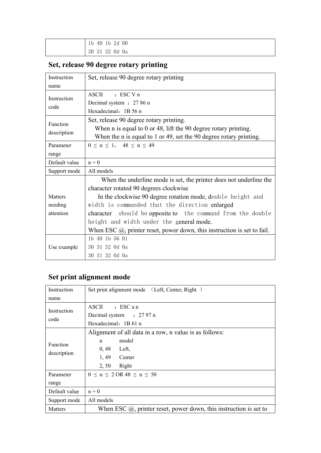| 40 lb 2d 00<br>1 <sub>b</sub> |
|-------------------------------|
| 30 31 32 0d 0a                |

# <span id="page-18-0"></span>**Set, release 90 degree rotary printing**

| Instruction    | Set, release 90 degree rotary printing                                          |  |  |  |  |  |  |
|----------------|---------------------------------------------------------------------------------|--|--|--|--|--|--|
| name           |                                                                                 |  |  |  |  |  |  |
| Instruction    | <b>ASCII</b><br>$:$ ESC V n                                                     |  |  |  |  |  |  |
| code           | Decimal system : 27 86 n                                                        |  |  |  |  |  |  |
|                | Hexadecimal: 1B 56 n                                                            |  |  |  |  |  |  |
| Function       | Set, release 90 degree rotary printing.                                         |  |  |  |  |  |  |
|                | When $n$ is equal to $0$ or 48, lift the 90 degree rotary printing.             |  |  |  |  |  |  |
| description    | When the n is equal to 1 or 49, set the 90 degree rotary printing.              |  |  |  |  |  |  |
| Parameter      | $0 \le n \le 1$ , $48 \le n \le 49$                                             |  |  |  |  |  |  |
| range          |                                                                                 |  |  |  |  |  |  |
| Default value  | $n = 0$                                                                         |  |  |  |  |  |  |
| Support mode   | All models                                                                      |  |  |  |  |  |  |
|                | When the underline mode is set, the printer does not underline the              |  |  |  |  |  |  |
|                | character rotated 90 degrees clockwise                                          |  |  |  |  |  |  |
| <b>Matters</b> | In the clockwise 90 degree rotation mode, double height and                     |  |  |  |  |  |  |
| needing        | width is commanded that the direction enlarged                                  |  |  |  |  |  |  |
| attention      | character should be opposite to the command from the double                     |  |  |  |  |  |  |
|                | height and width under the general mode.                                        |  |  |  |  |  |  |
|                | When ESC $\omega$ , printer reset, power down, this instruction is set to fail. |  |  |  |  |  |  |
|                | 1b 40 1b 56 01                                                                  |  |  |  |  |  |  |
| Use example    | 30 31 32 0d 0a                                                                  |  |  |  |  |  |  |
|                | 30 31 32 0d 0a                                                                  |  |  |  |  |  |  |

### <span id="page-18-1"></span>**Set print alignment mode**

| Instruction   | Set print alignment mode (Left, Center, Right)                            |
|---------------|---------------------------------------------------------------------------|
| name          |                                                                           |
| Instruction   | ASCII<br>$:$ ESC an                                                       |
|               | Decimal system : 27 97 n                                                  |
| code          | Hexadecimal: 1B 61 n                                                      |
|               | Alignment of all data in a row, n value is as follows:                    |
| Function      | model<br>$\mathbf n$                                                      |
| description   | 0,48<br>Left,                                                             |
|               | 1,49<br>Center                                                            |
|               | Right<br>2, 50                                                            |
| Parameter     | $0 \le n \le 2$ OR 48 $\le n \le 50$                                      |
| range         |                                                                           |
| Default value | $n = 0$                                                                   |
| Support mode  | All models                                                                |
| Matters       | When ESC $\omega$ , printer reset, power down, this instruction is set to |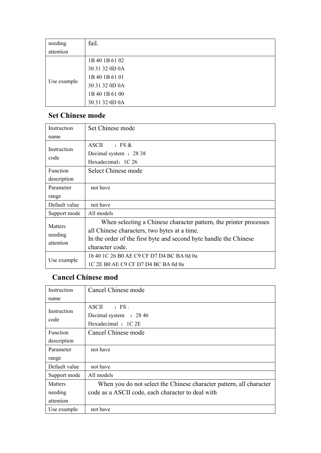| needing     | fail.          |
|-------------|----------------|
| attention   |                |
|             | 1B 40 1B 61 02 |
|             | 30 31 32 0D 0A |
|             | 1B 40 1B 61 01 |
| Use example | 30 31 32 0D 0A |
|             | 1B 40 1B 61 00 |
|             | 30 31 32 0D 0A |

#### <span id="page-19-0"></span>**Set Chinese mode**

| Instruction    | Set Chinese mode                                                  |
|----------------|-------------------------------------------------------------------|
| name           |                                                                   |
|                | $\cdot$ FS &<br><b>ASCII</b>                                      |
| Instruction    | Decimal system : 28 38                                            |
| code           | Hexadecimal: 1C 26                                                |
| Function       | Select Chinese mode                                               |
| description    |                                                                   |
| Parameter      | not have                                                          |
| range          |                                                                   |
| Default value  | not have                                                          |
| Support mode   | All models                                                        |
| <b>Matters</b> | When selecting a Chinese character pattern, the printer processes |
| needing        | all Chinese characters, two bytes at a time.                      |
| attention      | In the order of the first byte and second byte handle the Chinese |
|                | character code.                                                   |
| Use example    | 1b 40 1C 26 B0 AE C9 CF D7 D4 BC BA 0d 0a                         |
|                | 1C 2E B0 AE C9 CF D7 D4 BC BA 0d 0a                               |

### <span id="page-19-1"></span>**Cancel Chinese mod**

| Instruction     | Cancel Chinese mode                                                 |
|-----------------|---------------------------------------------------------------------|
| name            |                                                                     |
| Instruction     | <b>ASCII</b><br>$\cdot$ FS.                                         |
|                 | Decimal system : 28 46                                              |
| code            | Hexadecimal : 1C 2E                                                 |
| <b>Function</b> | Cancel Chinese mode                                                 |
| description     |                                                                     |
| Parameter       | not have                                                            |
| range           |                                                                     |
| Default value   | not have                                                            |
| Support mode    | All models                                                          |
| Matters         | When you do not select the Chinese character pattern, all character |
| needing         | code as a ASCII code, each character to deal with                   |
| attention       |                                                                     |
| Use example     | not have                                                            |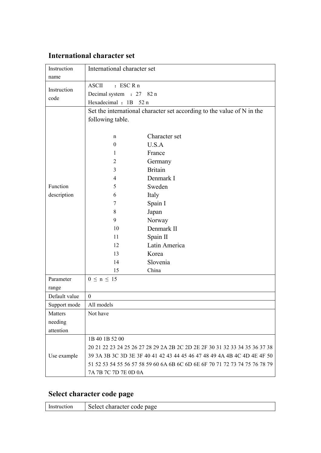#### <span id="page-20-0"></span>**International character set**

| Instruction   | International character set |                                                                            |
|---------------|-----------------------------|----------------------------------------------------------------------------|
| name          |                             |                                                                            |
| Instruction   | $:$ ESC R n<br><b>ASCII</b> |                                                                            |
| code          | Decimal system : 27 82 n    |                                                                            |
|               | Hexadecimal: 1B 52 n        |                                                                            |
|               |                             | Set the international character set according to the value of N in the     |
|               | following table.            |                                                                            |
|               |                             |                                                                            |
|               | n                           | Character set                                                              |
|               | $\boldsymbol{0}$            | U.S.A                                                                      |
|               | 1                           | France                                                                     |
|               | 2                           | Germany                                                                    |
|               | 3                           | <b>Britain</b>                                                             |
|               | 4                           | Denmark I                                                                  |
| Function      | 5                           | Sweden                                                                     |
| description   | 6                           | Italy                                                                      |
|               | 7                           | Spain I                                                                    |
|               | 8                           | Japan                                                                      |
|               | 9                           | Norway                                                                     |
|               | 10                          | Denmark II                                                                 |
|               | 11                          | Spain II                                                                   |
|               | 12                          | Latin America                                                              |
|               | 13                          | Korea                                                                      |
|               | 14                          | Slovenia                                                                   |
|               | 15                          | China                                                                      |
| Parameter     | $0 \le n \le 15$            |                                                                            |
| range         |                             |                                                                            |
| Default value | $\boldsymbol{0}$            |                                                                            |
| Support mode  | All models                  |                                                                            |
| Matters       | Not have                    |                                                                            |
| needing       |                             |                                                                            |
| attention     |                             |                                                                            |
|               | 1B 40 1B 52 00              |                                                                            |
|               |                             | 20 21 22 23 24 25 26 27 28 29 2A 2B 2C 2D 2E 2F 30 31 32 33 34 35 36 37 38 |
| Use example   |                             | 39 3A 3B 3C 3D 3E 3F 40 41 42 43 44 45 46 47 48 49 4A 4B 4C 4D 4E 4F 50    |
|               |                             | 51 52 53 54 55 56 57 58 59 60 6A 6B 6C 6D 6E 6F 70 71 72 73 74 75 76 78 79 |
|               | 7A 7B 7C 7D 7E 0D 0A        |                                                                            |

### <span id="page-20-1"></span>**Select character code page**

|  | Insti<br>лоп | Select character code<br>page |
|--|--------------|-------------------------------|
|--|--------------|-------------------------------|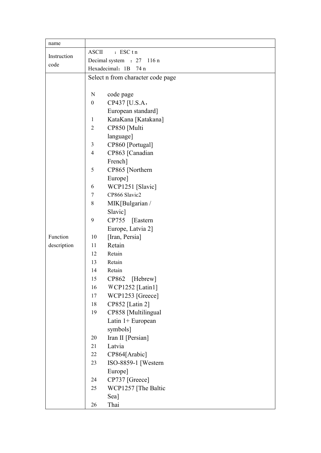| name        |                                     |
|-------------|-------------------------------------|
|             | <b>ASCII</b><br>$:$ ESC tn          |
| Instruction | Decimal system : 27 116 n           |
| code        | Hexadecimal: 1B 74 n                |
|             | Select n from character code page   |
|             |                                     |
|             | code page<br>N                      |
|             | CP437 [U.S.A,<br>$\boldsymbol{0}$   |
|             | European standard]                  |
|             | KataKana [Katakana]<br>$\mathbf{1}$ |
|             | CP850 [Multi<br>$\overline{2}$      |
|             | language]                           |
|             | $\mathfrak{Z}$<br>CP860 [Portugal]  |
|             | CP863 [Canadian<br>4                |
|             | French]                             |
|             | 5<br>CP865 [Northern                |
|             | Europe]                             |
|             | WCP1251 [Slavic]<br>6               |
|             | CP866 Slavic2<br>$\tau$             |
|             | $\,8\,$<br>MIK[Bulgarian /          |
|             | Slavic]                             |
|             | CP755<br>9<br>Eastern               |
|             | Europe, Latvia 2]                   |
| Function    | [Iran, Persia]<br>10                |
| description | Retain<br>11                        |
|             | Retain<br>12                        |
|             | Retain<br>13                        |
|             | 14<br>Retain                        |
|             | 15<br>CP862<br>[Hebrew]             |
|             | WCP1252 [Latin1]<br>16              |
|             | WCP1253 [Greece]<br>17              |
|             | CP852 [Latin 2]<br>18               |
|             | CP858 [Multilingual<br>19           |
|             | Latin 1+ European                   |
|             | symbols]                            |
|             | Iran II [Persian]<br>20             |
|             | Latvia<br>21                        |
|             | CP864[Arabic]<br>22                 |
|             | ISO-8859-1 [Western<br>23           |
|             | Europe]                             |
|             | CP737 [Greece]<br>24                |
|             | WCP1257 [The Baltic<br>25           |
|             | Sea]                                |
|             | Thai<br>26                          |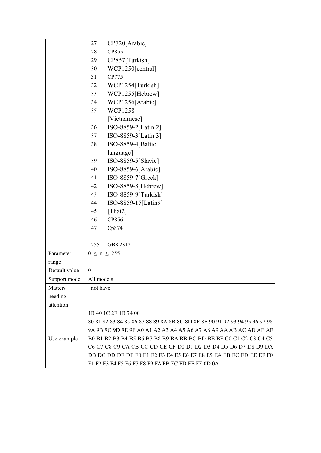|               | CP720[Arabic]<br>27                                                        |  |  |  |  |
|---------------|----------------------------------------------------------------------------|--|--|--|--|
|               | 28<br>CP855                                                                |  |  |  |  |
|               | CP857[Turkish]<br>29                                                       |  |  |  |  |
|               | WCP1250[central]<br>30                                                     |  |  |  |  |
|               | CP775<br>31                                                                |  |  |  |  |
|               | 32<br>WCP1254[Turkish]                                                     |  |  |  |  |
|               | WCP1255[Hebrew]<br>33                                                      |  |  |  |  |
|               | WCP1256[Arabic]<br>34                                                      |  |  |  |  |
|               | <b>WCP1258</b><br>35                                                       |  |  |  |  |
|               | [Vietnamese]                                                               |  |  |  |  |
|               | ISO-8859-2[Latin 2]<br>36                                                  |  |  |  |  |
|               | ISO-8859-3[Latin 3]<br>37                                                  |  |  |  |  |
|               | 38<br>ISO-8859-4[Baltic                                                    |  |  |  |  |
|               | language]                                                                  |  |  |  |  |
|               | ISO-8859-5[Slavic]<br>39                                                   |  |  |  |  |
|               | ISO-8859-6[Arabic]<br>40                                                   |  |  |  |  |
|               | ISO-8859-7[Greek]<br>41                                                    |  |  |  |  |
|               | ISO-8859-8[Hebrew]<br>42                                                   |  |  |  |  |
|               | ISO-8859-9[Turkish]<br>43                                                  |  |  |  |  |
|               | ISO-8859-15[Latin9]<br>44                                                  |  |  |  |  |
|               | [Thai2]<br>45                                                              |  |  |  |  |
|               | CP856<br>46                                                                |  |  |  |  |
|               | 47<br>Cp874                                                                |  |  |  |  |
|               |                                                                            |  |  |  |  |
|               | 255<br>GBK2312                                                             |  |  |  |  |
| Parameter     | $0 \le n \le 255$                                                          |  |  |  |  |
| range         |                                                                            |  |  |  |  |
| Default value | $\boldsymbol{0}$                                                           |  |  |  |  |
| Support mode  | All models                                                                 |  |  |  |  |
| Matters       | not have                                                                   |  |  |  |  |
| needing       |                                                                            |  |  |  |  |
| attention     |                                                                            |  |  |  |  |
|               | 1B 40 1C 2E 1B 74 00                                                       |  |  |  |  |
|               | 80 81 82 83 84 85 86 87 88 89 8A 8B 8C 8D 8E 8F 90 91 92 93 94 95 96 97 98 |  |  |  |  |
|               | 9A 9B 9C 9D 9E 9F A0 A1 A2 A3 A4 A5 A6 A7 A8 A9 AA AB AC AD AE AF          |  |  |  |  |
| Use example   | B0 B1 B2 B3 B4 B5 B6 B7 B8 B9 BA BB BC BD BE BF C0 C1 C2 C3 C4 C5          |  |  |  |  |
|               | C6 C7 C8 C9 CA CB CC CD CE CF D0 D1 D2 D3 D4 D5 D6 D7 D8 D9 DA             |  |  |  |  |
|               | DB DC DD DE DF E0 E1 E2 E3 E4 E5 E6 E7 E8 E9 EA EB EC ED EE EF F0          |  |  |  |  |
|               | F1 F2 F3 F4 F5 F6 F7 F8 F9 FA FB FC FD FE FF 0D 0A                         |  |  |  |  |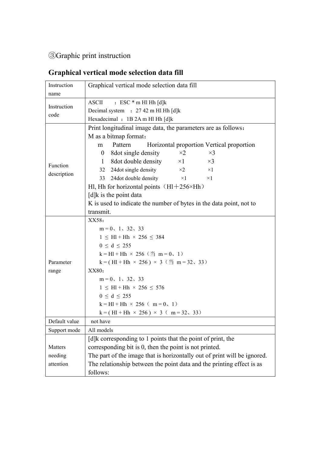### <span id="page-23-0"></span>③Graphic print instruction

# <span id="page-23-1"></span>**Graphical vertical mode selection data fill**

| Instruction   | Graphical vertical mode selection data fill                              |  |  |  |  |
|---------------|--------------------------------------------------------------------------|--|--|--|--|
| name          |                                                                          |  |  |  |  |
|               | $: ESC * m H1 Hh [d]k$<br><b>ASCII</b>                                   |  |  |  |  |
| Instruction   | Decimal system : 27 42 m Hl Hh [d]k                                      |  |  |  |  |
| code          | Hexadecimal : 1B 2A m Hl Hh [d]k                                         |  |  |  |  |
|               | Print longitudinal image data, the parameters are as follows:            |  |  |  |  |
|               | M as a bitmap format:                                                    |  |  |  |  |
|               | Pattern<br>Horizontal proportion Vertical proportion<br>m                |  |  |  |  |
|               | 8 dot single density<br>$\times 2$<br>$\times$ 3<br>$\mathbf{0}$         |  |  |  |  |
| Function      | 8dot double density<br>$\times 1$<br>$\times$ 3<br>1                     |  |  |  |  |
|               | 24dot single density<br>$\times 2$<br>32<br>$\times 1$                   |  |  |  |  |
| description   | 24dot double density<br>$\times 1$<br>$\times 1$<br>33                   |  |  |  |  |
|               | Hl, Hh for horizontal points $(H1+256\times Hh)$                         |  |  |  |  |
|               | $[d]$ k is the point data                                                |  |  |  |  |
|               | K is used to indicate the number of bytes in the data point, not to      |  |  |  |  |
|               | transmit.                                                                |  |  |  |  |
|               | XX58:                                                                    |  |  |  |  |
|               | $m = 0$ , 1, 32, 33                                                      |  |  |  |  |
|               | $1 \leq H1 + Hh \times 256 \leq 384$                                     |  |  |  |  |
|               | $0 \le d \le 255$                                                        |  |  |  |  |
|               | $k = H1 + Hh \times 256$ ( $\text{H}$ m = 0, 1)                          |  |  |  |  |
| Parameter     | k = (Hl + Hh × 256) × 3 ( $\pm$ m = 32, 33)                              |  |  |  |  |
| range         | XX80:                                                                    |  |  |  |  |
|               | $m = 0$ , 1, 32, 33                                                      |  |  |  |  |
|               | $1 \leq H1 + Hh \times 256 \leq 576$                                     |  |  |  |  |
|               | $0 \le d \le 255$                                                        |  |  |  |  |
|               | $k = H1 + Hh \times 256$ ( $m = 0, 1$ )                                  |  |  |  |  |
|               | $k = (H1 + Hh \times 256) \times 3$ (m=32, 33)                           |  |  |  |  |
| Default value | not have                                                                 |  |  |  |  |
| Support mode  | All models                                                               |  |  |  |  |
|               | [d]k corresponding to 1 points that the point of print, the              |  |  |  |  |
| Matters       | corresponding bit is 0, then the point is not printed.                   |  |  |  |  |
| needing       | The part of the image that is horizontally out of print will be ignored. |  |  |  |  |
| attention     | The relationship between the point data and the printing effect is as    |  |  |  |  |
|               | follows:                                                                 |  |  |  |  |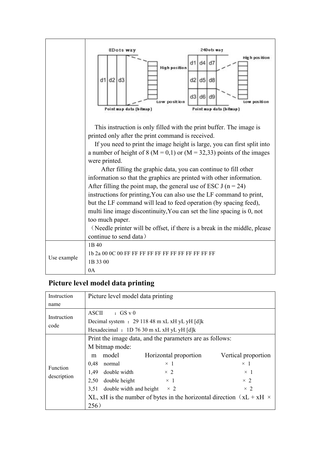

#### <span id="page-24-0"></span>**Picture level model data printing**

| Instruction             | Picture level model data printing                        |                                                                             |                     |  |  |
|-------------------------|----------------------------------------------------------|-----------------------------------------------------------------------------|---------------------|--|--|
| name                    |                                                          |                                                                             |                     |  |  |
| Instruction             | <b>ASCII</b><br>$\cdot$ GS v 0                           |                                                                             |                     |  |  |
|                         | Decimal system : $2911848$ m xL xH yL yH [d]k            |                                                                             |                     |  |  |
| code                    | Hexadecimal : 1D 76 30 m xL xH yL yH [d]k                |                                                                             |                     |  |  |
| Function<br>description | Print the image data, and the parameters are as follows: |                                                                             |                     |  |  |
|                         | M bitmap mode:                                           |                                                                             |                     |  |  |
|                         | model<br>m                                               | Horizontal proportion                                                       | Vertical proportion |  |  |
|                         | 0,48<br>normal                                           | $\times$ 1                                                                  | $\times$ 1          |  |  |
|                         | 1,49<br>double width                                     | $\times$ 2                                                                  | $\times$ 1          |  |  |
|                         | double height<br>2,50                                    | $\times$ 1                                                                  | $\times$ 2          |  |  |
|                         | 3,51                                                     | double width and height<br>$\times$ 2                                       | $\times$ 2          |  |  |
|                         |                                                          | XL, xH is the number of bytes in the horizontal direction $(xL + xH \times$ |                     |  |  |
|                         | 256)                                                     |                                                                             |                     |  |  |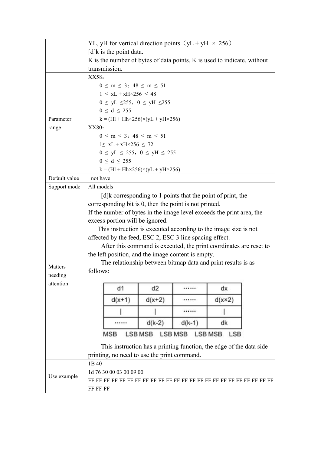| $[d]$ k is the point data.<br>K is the number of bytes of data points, K is used to indicate, without<br>transmission.<br>XX58:<br>$0 \le m \le 3$ ; 48 $\le m \le 51$<br>$1 \leq xL + xH \times 256 \leq 48$<br>$0 \le yL \le 255$ , $0 \le yH \le 255$<br>$0 \le d \le 255$<br>$k = (H1 + Hh \times 256) \times (yL + yH \times 256)$<br>Parameter<br>XX80:<br>range<br>$0 \le m \le 3$ ; 48 $\le m \le 51$<br>$1 \leq xL + xH \times 256 \leq 72$<br>$0 \le yL \le 255$ , $0 \le yH \le 255$<br>$0 \le d \le 255$<br>$k = (H1 + Hh \times 256) \times (yL + yH \times 256)$<br>Default value<br>not have<br>All models<br>Support mode<br>[d]k corresponding to 1 points that the point of print, the<br>corresponding bit is 0, then the point is not printed.<br>If the number of bytes in the image level exceeds the print area, the<br>excess portion will be ignored.<br>This instruction is executed according to the image size is not<br>affected by the feed, ESC 2, ESC 3 line spacing effect.<br>After this command is executed, the print coordinates are reset to<br>the left position, and the image content is empty.<br>The relationship between bitmap data and print results is as<br>Matters<br>follows:<br>needing<br>attention<br>d2<br>d1<br>dx<br><br>$d(x+1)$<br>$d(x+2)$<br>$d(x \times 2)$<br><br><br>$d(k-2)$<br>dk<br>$d(k-1)$<br><br><b>LSB MSB</b><br><b>MSB</b><br><b>LSB MSB</b><br><b>LSB MSB</b><br><b>LSB</b><br>This instruction has a printing function, the edge of the data side<br>printing, no need to use the print command.<br>1B 40<br>1d 76 30 00 03 00 09 00<br>Use example<br>FF FF FF |  | YL, yH for vertical direction points $(yL + yH \times 256)$ |  |  |  |  |
|-------------------------------------------------------------------------------------------------------------------------------------------------------------------------------------------------------------------------------------------------------------------------------------------------------------------------------------------------------------------------------------------------------------------------------------------------------------------------------------------------------------------------------------------------------------------------------------------------------------------------------------------------------------------------------------------------------------------------------------------------------------------------------------------------------------------------------------------------------------------------------------------------------------------------------------------------------------------------------------------------------------------------------------------------------------------------------------------------------------------------------------------------------------------------------------------------------------------------------------------------------------------------------------------------------------------------------------------------------------------------------------------------------------------------------------------------------------------------------------------------------------------------------------------------------------------------------------------------------------------------------------------|--|-------------------------------------------------------------|--|--|--|--|
|                                                                                                                                                                                                                                                                                                                                                                                                                                                                                                                                                                                                                                                                                                                                                                                                                                                                                                                                                                                                                                                                                                                                                                                                                                                                                                                                                                                                                                                                                                                                                                                                                                           |  |                                                             |  |  |  |  |
|                                                                                                                                                                                                                                                                                                                                                                                                                                                                                                                                                                                                                                                                                                                                                                                                                                                                                                                                                                                                                                                                                                                                                                                                                                                                                                                                                                                                                                                                                                                                                                                                                                           |  |                                                             |  |  |  |  |
|                                                                                                                                                                                                                                                                                                                                                                                                                                                                                                                                                                                                                                                                                                                                                                                                                                                                                                                                                                                                                                                                                                                                                                                                                                                                                                                                                                                                                                                                                                                                                                                                                                           |  |                                                             |  |  |  |  |
|                                                                                                                                                                                                                                                                                                                                                                                                                                                                                                                                                                                                                                                                                                                                                                                                                                                                                                                                                                                                                                                                                                                                                                                                                                                                                                                                                                                                                                                                                                                                                                                                                                           |  |                                                             |  |  |  |  |
|                                                                                                                                                                                                                                                                                                                                                                                                                                                                                                                                                                                                                                                                                                                                                                                                                                                                                                                                                                                                                                                                                                                                                                                                                                                                                                                                                                                                                                                                                                                                                                                                                                           |  |                                                             |  |  |  |  |
|                                                                                                                                                                                                                                                                                                                                                                                                                                                                                                                                                                                                                                                                                                                                                                                                                                                                                                                                                                                                                                                                                                                                                                                                                                                                                                                                                                                                                                                                                                                                                                                                                                           |  |                                                             |  |  |  |  |
|                                                                                                                                                                                                                                                                                                                                                                                                                                                                                                                                                                                                                                                                                                                                                                                                                                                                                                                                                                                                                                                                                                                                                                                                                                                                                                                                                                                                                                                                                                                                                                                                                                           |  |                                                             |  |  |  |  |
|                                                                                                                                                                                                                                                                                                                                                                                                                                                                                                                                                                                                                                                                                                                                                                                                                                                                                                                                                                                                                                                                                                                                                                                                                                                                                                                                                                                                                                                                                                                                                                                                                                           |  |                                                             |  |  |  |  |
|                                                                                                                                                                                                                                                                                                                                                                                                                                                                                                                                                                                                                                                                                                                                                                                                                                                                                                                                                                                                                                                                                                                                                                                                                                                                                                                                                                                                                                                                                                                                                                                                                                           |  |                                                             |  |  |  |  |
|                                                                                                                                                                                                                                                                                                                                                                                                                                                                                                                                                                                                                                                                                                                                                                                                                                                                                                                                                                                                                                                                                                                                                                                                                                                                                                                                                                                                                                                                                                                                                                                                                                           |  |                                                             |  |  |  |  |
|                                                                                                                                                                                                                                                                                                                                                                                                                                                                                                                                                                                                                                                                                                                                                                                                                                                                                                                                                                                                                                                                                                                                                                                                                                                                                                                                                                                                                                                                                                                                                                                                                                           |  |                                                             |  |  |  |  |
|                                                                                                                                                                                                                                                                                                                                                                                                                                                                                                                                                                                                                                                                                                                                                                                                                                                                                                                                                                                                                                                                                                                                                                                                                                                                                                                                                                                                                                                                                                                                                                                                                                           |  |                                                             |  |  |  |  |
|                                                                                                                                                                                                                                                                                                                                                                                                                                                                                                                                                                                                                                                                                                                                                                                                                                                                                                                                                                                                                                                                                                                                                                                                                                                                                                                                                                                                                                                                                                                                                                                                                                           |  |                                                             |  |  |  |  |
|                                                                                                                                                                                                                                                                                                                                                                                                                                                                                                                                                                                                                                                                                                                                                                                                                                                                                                                                                                                                                                                                                                                                                                                                                                                                                                                                                                                                                                                                                                                                                                                                                                           |  |                                                             |  |  |  |  |
|                                                                                                                                                                                                                                                                                                                                                                                                                                                                                                                                                                                                                                                                                                                                                                                                                                                                                                                                                                                                                                                                                                                                                                                                                                                                                                                                                                                                                                                                                                                                                                                                                                           |  |                                                             |  |  |  |  |
|                                                                                                                                                                                                                                                                                                                                                                                                                                                                                                                                                                                                                                                                                                                                                                                                                                                                                                                                                                                                                                                                                                                                                                                                                                                                                                                                                                                                                                                                                                                                                                                                                                           |  |                                                             |  |  |  |  |
|                                                                                                                                                                                                                                                                                                                                                                                                                                                                                                                                                                                                                                                                                                                                                                                                                                                                                                                                                                                                                                                                                                                                                                                                                                                                                                                                                                                                                                                                                                                                                                                                                                           |  |                                                             |  |  |  |  |
|                                                                                                                                                                                                                                                                                                                                                                                                                                                                                                                                                                                                                                                                                                                                                                                                                                                                                                                                                                                                                                                                                                                                                                                                                                                                                                                                                                                                                                                                                                                                                                                                                                           |  |                                                             |  |  |  |  |
|                                                                                                                                                                                                                                                                                                                                                                                                                                                                                                                                                                                                                                                                                                                                                                                                                                                                                                                                                                                                                                                                                                                                                                                                                                                                                                                                                                                                                                                                                                                                                                                                                                           |  |                                                             |  |  |  |  |
|                                                                                                                                                                                                                                                                                                                                                                                                                                                                                                                                                                                                                                                                                                                                                                                                                                                                                                                                                                                                                                                                                                                                                                                                                                                                                                                                                                                                                                                                                                                                                                                                                                           |  |                                                             |  |  |  |  |
|                                                                                                                                                                                                                                                                                                                                                                                                                                                                                                                                                                                                                                                                                                                                                                                                                                                                                                                                                                                                                                                                                                                                                                                                                                                                                                                                                                                                                                                                                                                                                                                                                                           |  |                                                             |  |  |  |  |
|                                                                                                                                                                                                                                                                                                                                                                                                                                                                                                                                                                                                                                                                                                                                                                                                                                                                                                                                                                                                                                                                                                                                                                                                                                                                                                                                                                                                                                                                                                                                                                                                                                           |  |                                                             |  |  |  |  |
|                                                                                                                                                                                                                                                                                                                                                                                                                                                                                                                                                                                                                                                                                                                                                                                                                                                                                                                                                                                                                                                                                                                                                                                                                                                                                                                                                                                                                                                                                                                                                                                                                                           |  |                                                             |  |  |  |  |
|                                                                                                                                                                                                                                                                                                                                                                                                                                                                                                                                                                                                                                                                                                                                                                                                                                                                                                                                                                                                                                                                                                                                                                                                                                                                                                                                                                                                                                                                                                                                                                                                                                           |  |                                                             |  |  |  |  |
|                                                                                                                                                                                                                                                                                                                                                                                                                                                                                                                                                                                                                                                                                                                                                                                                                                                                                                                                                                                                                                                                                                                                                                                                                                                                                                                                                                                                                                                                                                                                                                                                                                           |  |                                                             |  |  |  |  |
|                                                                                                                                                                                                                                                                                                                                                                                                                                                                                                                                                                                                                                                                                                                                                                                                                                                                                                                                                                                                                                                                                                                                                                                                                                                                                                                                                                                                                                                                                                                                                                                                                                           |  |                                                             |  |  |  |  |
|                                                                                                                                                                                                                                                                                                                                                                                                                                                                                                                                                                                                                                                                                                                                                                                                                                                                                                                                                                                                                                                                                                                                                                                                                                                                                                                                                                                                                                                                                                                                                                                                                                           |  |                                                             |  |  |  |  |
|                                                                                                                                                                                                                                                                                                                                                                                                                                                                                                                                                                                                                                                                                                                                                                                                                                                                                                                                                                                                                                                                                                                                                                                                                                                                                                                                                                                                                                                                                                                                                                                                                                           |  |                                                             |  |  |  |  |
|                                                                                                                                                                                                                                                                                                                                                                                                                                                                                                                                                                                                                                                                                                                                                                                                                                                                                                                                                                                                                                                                                                                                                                                                                                                                                                                                                                                                                                                                                                                                                                                                                                           |  |                                                             |  |  |  |  |
|                                                                                                                                                                                                                                                                                                                                                                                                                                                                                                                                                                                                                                                                                                                                                                                                                                                                                                                                                                                                                                                                                                                                                                                                                                                                                                                                                                                                                                                                                                                                                                                                                                           |  |                                                             |  |  |  |  |
|                                                                                                                                                                                                                                                                                                                                                                                                                                                                                                                                                                                                                                                                                                                                                                                                                                                                                                                                                                                                                                                                                                                                                                                                                                                                                                                                                                                                                                                                                                                                                                                                                                           |  |                                                             |  |  |  |  |
|                                                                                                                                                                                                                                                                                                                                                                                                                                                                                                                                                                                                                                                                                                                                                                                                                                                                                                                                                                                                                                                                                                                                                                                                                                                                                                                                                                                                                                                                                                                                                                                                                                           |  |                                                             |  |  |  |  |
|                                                                                                                                                                                                                                                                                                                                                                                                                                                                                                                                                                                                                                                                                                                                                                                                                                                                                                                                                                                                                                                                                                                                                                                                                                                                                                                                                                                                                                                                                                                                                                                                                                           |  |                                                             |  |  |  |  |
|                                                                                                                                                                                                                                                                                                                                                                                                                                                                                                                                                                                                                                                                                                                                                                                                                                                                                                                                                                                                                                                                                                                                                                                                                                                                                                                                                                                                                                                                                                                                                                                                                                           |  |                                                             |  |  |  |  |
|                                                                                                                                                                                                                                                                                                                                                                                                                                                                                                                                                                                                                                                                                                                                                                                                                                                                                                                                                                                                                                                                                                                                                                                                                                                                                                                                                                                                                                                                                                                                                                                                                                           |  |                                                             |  |  |  |  |
|                                                                                                                                                                                                                                                                                                                                                                                                                                                                                                                                                                                                                                                                                                                                                                                                                                                                                                                                                                                                                                                                                                                                                                                                                                                                                                                                                                                                                                                                                                                                                                                                                                           |  |                                                             |  |  |  |  |
|                                                                                                                                                                                                                                                                                                                                                                                                                                                                                                                                                                                                                                                                                                                                                                                                                                                                                                                                                                                                                                                                                                                                                                                                                                                                                                                                                                                                                                                                                                                                                                                                                                           |  |                                                             |  |  |  |  |
|                                                                                                                                                                                                                                                                                                                                                                                                                                                                                                                                                                                                                                                                                                                                                                                                                                                                                                                                                                                                                                                                                                                                                                                                                                                                                                                                                                                                                                                                                                                                                                                                                                           |  |                                                             |  |  |  |  |
|                                                                                                                                                                                                                                                                                                                                                                                                                                                                                                                                                                                                                                                                                                                                                                                                                                                                                                                                                                                                                                                                                                                                                                                                                                                                                                                                                                                                                                                                                                                                                                                                                                           |  |                                                             |  |  |  |  |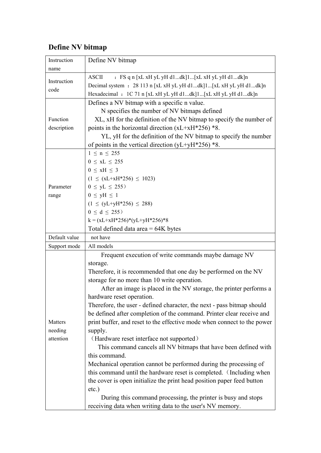### <span id="page-26-0"></span>**Define NV bitmap**

| Instruction   | Define NV bitmap                                                        |
|---------------|-------------------------------------------------------------------------|
| name          |                                                                         |
| Instruction   | <b>ASCII</b><br>: FS q n [xL xH yL yH d1dk]1[xL xH yL yH d1dk]n         |
| code          | Decimal system : 28 113 n [xL xH yL yH d1dk]1[xL xH yL yH d1dk]n        |
|               | Hexadecimal : 1C 71 n [xL xH yL yH d1dk]1[xL xH yL yH d1dk]n            |
|               | Defines a NV bitmap with a specific n value.                            |
|               | N specifies the number of NV bitmaps defined                            |
| Function      | XL, xH for the definition of the NV bitmap to specify the number of     |
| description   | points in the horizontal direction $(xL+xH*256)*8$ .                    |
|               | YL, yH for the definition of the NV bitmap to specify the number        |
|               | of points in the vertical direction (yL+yH $*256$ ) $*8$ .              |
|               | $1 \le n \le 255$                                                       |
|               | $0 \leq xL \leq 255$                                                    |
|               | $0 \leq xH \leq 3$                                                      |
|               | $(1 \leq (xL+xH*256) \leq 1023)$                                        |
| Parameter     | $0 \le yL \le 255$                                                      |
| range         | $0 \leq yH \leq 1$                                                      |
|               | $(1 \le (yL+yH*256) \le 288)$                                           |
|               | $0 \le d \le 255$                                                       |
|               | $k = (xL+xH*256)*(yL+yH*256)*8$                                         |
|               | Total defined data area $= 64K$ bytes                                   |
| Default value | not have                                                                |
| Support mode  | All models                                                              |
|               | Frequent execution of write commands maybe damage NV                    |
|               | storage.                                                                |
|               | Therefore, it is recommended that one day be performed on the NV        |
|               | storage for no more than 10 write operation.                            |
|               | After an image is placed in the NV storage, the printer performs a      |
|               | hardware reset operation.                                               |
|               | Therefore, the user - defined character, the next - pass bitmap should  |
|               | be defined after completion of the command. Printer clear receive and   |
| Matters       | print buffer, and reset to the effective mode when connect to the power |
| needing       | supply.                                                                 |
| attention     | (Hardware reset interface not supported)                                |
|               | This command cancels all NV bitmaps that have been defined with         |
|               | this command.                                                           |
|               | Mechanical operation cannot be performed during the processing of       |
|               | this command until the hardware reset is completed. (Including when     |
|               | the cover is open initialize the print head position paper feed button  |
|               | $etc.$ )                                                                |
|               | During this command processing, the printer is busy and stops           |
|               | receiving data when writing data to the user's NV memory.               |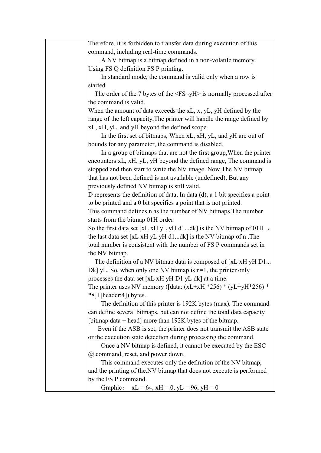| Therefore, it is forbidden to transfer data during execution of this                     |
|------------------------------------------------------------------------------------------|
| command, including real-time commands.                                                   |
| A NV bitmap is a bitmap defined in a non-volatile memory.                                |
| Using FS Q definition FS P printing.                                                     |
| In standard mode, the command is valid only when a row is                                |
| started.                                                                                 |
| The order of the 7 bytes of the $\langle FS \sim yH \rangle$ is normally processed after |
| the command is valid.                                                                    |
| When the amount of data exceeds the xL, x, yL, yH defined by the                         |
| range of the left capacity, The printer will handle the range defined by                 |
| xL, xH, yL, and yH beyond the defined scope.                                             |
| In the first set of bitmaps, When xL, xH, yL, and yH are out of                          |
| bounds for any parameter, the command is disabled.                                       |
| In a group of bitmaps that are not the first group, When the printer                     |
| encounters xL, xH, yL, yH beyond the defined range, The command is                       |
| stopped and then start to write the NV image. Now, The NV bitmap                         |
| that has not been defined is not available (undefined), But any                          |
| previously defined NV bitmap is still valid.                                             |
| D represents the definition of data, In data $(d)$ , a 1 bit specifies a point           |
| to be printed and a 0 bit specifies a point that is not printed.                         |
| This command defines n as the number of NV bitmaps. The number                           |
| starts from the bitmap 01H order.                                                        |
| So the first data set $[xL xH yL yH d1dk]$ is the NV bitmap of 01H,                      |
| the last data set [xL xH yL yH d1dk] is the NV bitmap of n.The                           |
| total number is consistent with the number of FS P commands set in                       |
| the NV bitmap.                                                                           |
| The definition of a NV bitmap data is composed of [xL xH yH D1                           |
| Dk] yL. So, when only one NV bitmap is $n=1$ , the printer only                          |
| processes the data set [xL xH yH D1 yL dk] at a time.                                    |
| The printer uses NV memory ([data: $(xL+xH * 256) * (yL+yH * 256) *$                     |
| $*8$ ]+[header:4]) bytes.                                                                |
| The definition of this printer is 192K bytes (max). The command                          |
| can define several bitmaps, but can not define the total data capacity                   |
| [bitmap data $+$ head] more than 192K bytes of the bitmap.                               |
| Even if the ASB is set, the printer does not transmit the ASB state                      |
| or the execution state detection during processing the command.                          |
| Once a NV bitmap is defined, it cannot be executed by the ESC                            |
| @ command, reset, and power down.                                                        |
| This command executes only the definition of the NV bitmap,                              |
| and the printing of the NV bitmap that does not execute is performed                     |
| by the FS P command.                                                                     |
| Graphic: $xL = 64$ , $xH = 0$ , $yL = 96$ , $yH = 0$                                     |
|                                                                                          |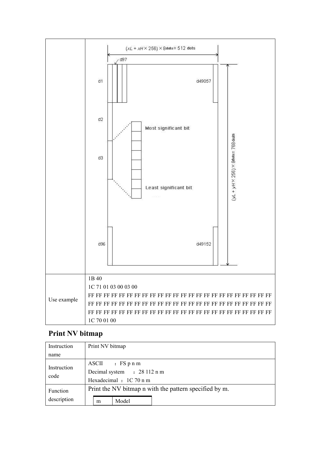

#### <span id="page-28-0"></span>**Print NV bitmap**

| Instruction     | Print NV bitmap                                        |  |
|-----------------|--------------------------------------------------------|--|
| name            |                                                        |  |
|                 | $ASCII$ : FS p n m                                     |  |
| Instruction     | Decimal system : 28 112 n m                            |  |
| code            | Hexadecimal : 1C 70 n m                                |  |
| <b>Function</b> | Print the NV bitmap n with the pattern specified by m. |  |
| description     | Model<br>m                                             |  |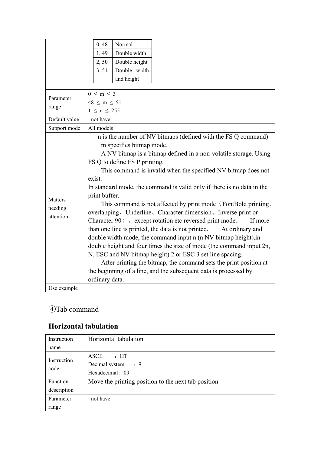|               | 0,48<br>Normal                                                         |
|---------------|------------------------------------------------------------------------|
|               | Double width<br>1,49                                                   |
|               | Double height<br>2,50                                                  |
|               | Double width<br>3, 51                                                  |
|               | and height                                                             |
|               |                                                                        |
| Parameter     | $0 \leq m \leq 3$                                                      |
| range         | $48 \le m \le 51$                                                      |
|               | $1 \leq n \leq 255$                                                    |
| Default value | not have                                                               |
| Support mode  | All models                                                             |
|               | n is the number of NV bitmaps (defined with the FS Q command)          |
|               | m specifies bitmap mode.                                               |
|               | A NV bitmap is a bitmap defined in a non-volatile storage. Using       |
|               | FS Q to define FS P printing.                                          |
|               | This command is invalid when the specified NV bitmap does not          |
|               | exist.                                                                 |
|               | In standard mode, the command is valid only if there is no data in the |
| Matters       | print buffer.                                                          |
| needing       | This command is not affected by print mode (FontBold printing,         |
| attention     | overlapping, Underline, Character dimension, Inverse print or          |
|               | Character 90), except rotation etc reversed print mode.<br>If more     |
|               | than one line is printed, the data is not printed.<br>At ordinary and  |
|               | double width mode, the command input n (n NV bitmap height), in        |
|               | double height and four times the size of mode (the command input 2n,   |
|               | N, ESC and NV bitmap height) 2 or ESC 3 set line spacing.              |
|               | After printing the bitmap, the command sets the print position at      |
|               | the beginning of a line, and the subsequent data is processed by       |
|               | ordinary data.                                                         |
| Use example   |                                                                        |

#### <span id="page-29-0"></span>④Tab command

#### <span id="page-29-1"></span>**Horizontal tabulation**

| Instruction     | Horizontal tabulation                               |
|-----------------|-----------------------------------------------------|
| name            |                                                     |
| Instruction     | ASCII<br>$\cdot$ HT                                 |
|                 | Decimal system : 9                                  |
| code            | Hexadecimal: 09                                     |
| <b>Function</b> | Move the printing position to the next tab position |
| description     |                                                     |
| Parameter       | not have                                            |
| range           |                                                     |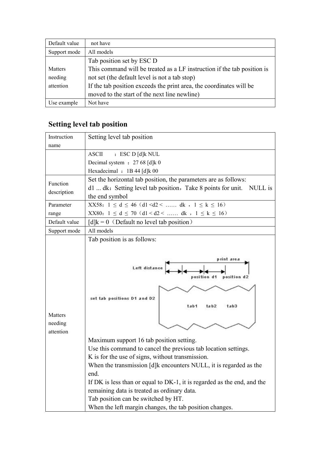| Default value | not have                                                                |
|---------------|-------------------------------------------------------------------------|
| Support mode  | All models                                                              |
|               | Tab position set by ESC D                                               |
| Matters       | This command will be treated as a LF instruction if the tab position is |
| needing       | not set (the default level is not a tab stop)                           |
| attention     | If the tab position exceeds the print area, the coordinates will be     |
|               | moved to the start of the next line newline)                            |
| Use example   | Not have                                                                |

# <span id="page-30-0"></span>**Setting level tab position**

| Setting level tab position<br>Instruction                                                                                                                                                                                                                                                                                                                                                                          |
|--------------------------------------------------------------------------------------------------------------------------------------------------------------------------------------------------------------------------------------------------------------------------------------------------------------------------------------------------------------------------------------------------------------------|
|                                                                                                                                                                                                                                                                                                                                                                                                                    |
| name                                                                                                                                                                                                                                                                                                                                                                                                               |
| <b>ASCII</b><br>: ESC D [d] k NUL                                                                                                                                                                                                                                                                                                                                                                                  |
| Decimal system : 27 68 [d]k 0                                                                                                                                                                                                                                                                                                                                                                                      |
| Hexadecimal : 1B 44 [d]k 00                                                                                                                                                                                                                                                                                                                                                                                        |
| Set the horizontal tab position, the parameters are as follows:<br>Function                                                                                                                                                                                                                                                                                                                                        |
| d1  dk: Setting level tab position, Take 8 points for unit.<br>NULL is<br>description                                                                                                                                                                                                                                                                                                                              |
| the end symbol                                                                                                                                                                                                                                                                                                                                                                                                     |
| XX58: $1 \le d \le 46$ (d1 <d2< <math="" dk,="">1 \le k \le 16)<br/>Parameter</d2<>                                                                                                                                                                                                                                                                                                                                |
| XX80: $1 \le d \le 70$ (d1 <d2< <math="" dk,="">1 \le k \le 16)<br/>range</d2<>                                                                                                                                                                                                                                                                                                                                    |
| Default value<br>$[d]k = 0$ (Default no level tab position)                                                                                                                                                                                                                                                                                                                                                        |
| All models<br>Support mode                                                                                                                                                                                                                                                                                                                                                                                         |
| Tab position is as follows:                                                                                                                                                                                                                                                                                                                                                                                        |
| print area<br>Left distance<br>position d2<br>d1<br>position<br>set tab positions D1 and D2<br>tab1<br>ta b <sub>2</sub><br>tab3<br>Matters<br>needing<br>attention<br>Maximum support 16 tab position setting.<br>Use this command to cancel the previous tab location settings.<br>K is for the use of signs, without transmission.<br>When the transmission [d]k encounters NULL, it is regarded as the<br>end. |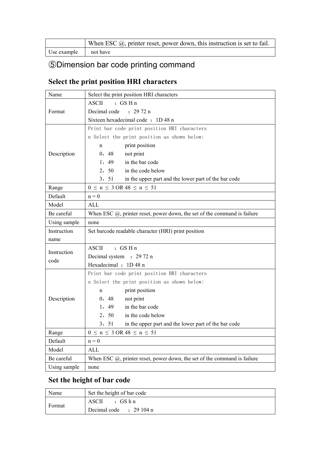|             | When ESC $(\hat{\omega})$ , printer reset, power down, this instruction is set to fail. |
|-------------|-----------------------------------------------------------------------------------------|
| Use example | not have                                                                                |

# <span id="page-31-0"></span>⑤Dimension bar code printing command

### <span id="page-31-1"></span>**Select the print position HRI characters**

| Name         | Select the print position HRI characters                                                 |
|--------------|------------------------------------------------------------------------------------------|
|              | <b>ASCII</b><br>$:$ GS H n                                                               |
| Format       | Decimal code<br>: 2972n                                                                  |
|              | Sixteen hexadecimal code: 1D 48 n                                                        |
|              | Print bar code print position HRI characters                                             |
|              | n Select the print position as shown below:                                              |
|              | print position<br>$\mathbf n$                                                            |
| Description  | 0, 48<br>not print                                                                       |
|              | in the bar code<br>1,49                                                                  |
|              | 2, 50<br>in the code below                                                               |
|              | 3, 51<br>in the upper part and the lower part of the bar code                            |
| Range        | $0 \le n \le 3 \text{ OR } 48 \le n \le 51$                                              |
| Default      | $n = 0$                                                                                  |
| Model        | <b>ALL</b>                                                                               |
| Be careful   | When ESC $(0)$ , printer reset, power down, the set of the command is failure            |
| Using sample | none                                                                                     |
| Instruction  | Set barcode readable character (HRI) print position                                      |
| name         |                                                                                          |
| Instruction  | <b>ASCII</b><br>$:$ GS H n                                                               |
| code         | Decimal system : 29 72 n                                                                 |
|              | Hexadecimal : 1D 48 n                                                                    |
|              | Print bar code print position HRI characters                                             |
|              | n Select the print position as shown below:                                              |
|              | print position<br>$\mathbf n$                                                            |
| Description  | 0, 48<br>not print                                                                       |
|              | in the bar code<br>1, 49                                                                 |
|              | 2, 50<br>in the code below                                                               |
|              | 3, 51<br>in the upper part and the lower part of the bar code                            |
| Range        | $0 \le n \le 3$ OR $48 \le n \le 51$                                                     |
| Default      | $n = 0$                                                                                  |
| Model        | <b>ALL</b>                                                                               |
| Be careful   | When ESC $(\hat{\omega})$ , printer reset, power down, the set of the command is failure |
| Using sample | none                                                                                     |

#### <span id="page-31-2"></span>**Set the height of bar code**

| Name   | Set the height of bar code |
|--------|----------------------------|
|        | $\cdot$ GS h n<br>ASCII    |
| Format | Decimal code : 29 104 n    |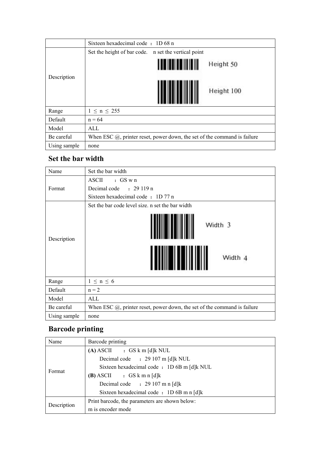|              | Sixteen hexadecimal code: 1D 68 n                                             |
|--------------|-------------------------------------------------------------------------------|
|              | Set the height of bar code. n set the vertical point                          |
|              | Height 50                                                                     |
| Description  | Height 100                                                                    |
| Range        | $1 \le n \le 255$                                                             |
| Default      | $n = 64$                                                                      |
| Model        | ALL                                                                           |
| Be careful   | When ESC $(a)$ , printer reset, power down, the set of the command is failure |
| Using sample | none                                                                          |

#### <span id="page-32-0"></span>**Set the bar width**

| Name         | Set the bar width                                                             |  |
|--------------|-------------------------------------------------------------------------------|--|
|              | ASCII<br>$:$ GS w n                                                           |  |
| Format       | Decimal code : 29 119 n                                                       |  |
|              | Sixteen hexadecimal code : 1D 77 n                                            |  |
|              | Set the bar code level size, n set the bar width                              |  |
| Description  | Width 3<br>Width 4                                                            |  |
| Range        | $1 \leq n \leq 6$                                                             |  |
| Default      | $n = 2$                                                                       |  |
| Model        | ALL                                                                           |  |
| Be careful   | When ESC $(0)$ , printer reset, power down, the set of the command is failure |  |
| Using sample | none                                                                          |  |

### <span id="page-32-1"></span>**Barcode printing**

| Name        | Barcode printing                               |
|-------------|------------------------------------------------|
|             | $(A)$ ASCII : GS k m [d]k NUL                  |
|             | Decimal code : 29 107 m [d]k NUL               |
|             | Sixteen hexadecimal code : 1D 6B m [d]k NUL    |
| Format      | $(B)$ ASCII : GS k m n [d]k                    |
|             | Decimal code : $29107$ m n [d]k                |
|             | Sixteen hexadecimal code : 1D 6B m n [d]k      |
|             | Print barcode, the parameters are shown below: |
| Description | m is encoder mode                              |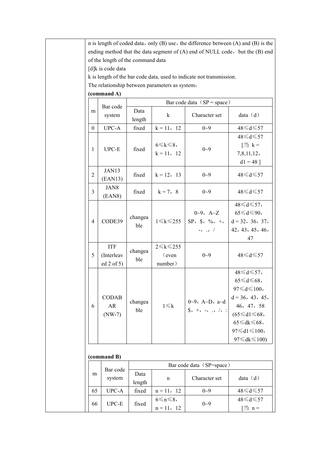| ending method that the data segment of (A) end of NULL code, but the (B) end                         |  |  |  |  |  |  |  |  |  |  |
|------------------------------------------------------------------------------------------------------|--|--|--|--|--|--|--|--|--|--|
| of the length of the command data                                                                    |  |  |  |  |  |  |  |  |  |  |
| [d]k is code data                                                                                    |  |  |  |  |  |  |  |  |  |  |
| k is length of the bar code data, used to indicate not transmission.                                 |  |  |  |  |  |  |  |  |  |  |
| The relationship between parameters as system:                                                       |  |  |  |  |  |  |  |  |  |  |
| (command A)                                                                                          |  |  |  |  |  |  |  |  |  |  |
| Bar code data $(SP = space)$                                                                         |  |  |  |  |  |  |  |  |  |  |
| Bar code<br>Data<br>m                                                                                |  |  |  |  |  |  |  |  |  |  |
| data $(d)$<br>Character set<br>k<br>system<br>length                                                 |  |  |  |  |  |  |  |  |  |  |
| UPC-A<br>$k = 11, 12$<br>$0 - 9$<br>48≤d≤57<br>$\overline{0}$<br>fixed                               |  |  |  |  |  |  |  |  |  |  |
| 48≤d≤57                                                                                              |  |  |  |  |  |  |  |  |  |  |
| $\left[\frac{3k}{21} \right]$ k =<br>$6 \leq k \leq 8$                                               |  |  |  |  |  |  |  |  |  |  |
| $UPC-E$<br>$0 - 9$<br>$\mathbf{1}$<br>fixed<br>$k = 11, 12$<br>7,8,11,12,                            |  |  |  |  |  |  |  |  |  |  |
| $d1 = 48$ ]                                                                                          |  |  |  |  |  |  |  |  |  |  |
| JAN13<br>$\overline{2}$<br>fixed<br>$k = 12, 13$<br>$0 - 9$<br>48≤d≤57<br>(EAN13)                    |  |  |  |  |  |  |  |  |  |  |
| JAN8<br>$\mathfrak{Z}$<br>$0 - 9$<br>48≤d≤57<br>fixed<br>$k = 7, 8$<br>(EAN8)                        |  |  |  |  |  |  |  |  |  |  |
| $48 \le d \le 57$ ,                                                                                  |  |  |  |  |  |  |  |  |  |  |
| $65 \le d \le 90$ ,<br>$0 - 9$ , $A - Z$                                                             |  |  |  |  |  |  |  |  |  |  |
| changea<br>CODE39<br>$1 \leq k \leq 255$<br>$SP, \$ \$, %, +,<br>$d = 32, 36, 37,$<br>$\overline{4}$ |  |  |  |  |  |  |  |  |  |  |
| ble<br>42, 43, 45, 46,<br>$-$ , $\cdot$ , $/$                                                        |  |  |  |  |  |  |  |  |  |  |
| 47                                                                                                   |  |  |  |  |  |  |  |  |  |  |
| $2 \leq k \leq 255$<br><b>ITF</b>                                                                    |  |  |  |  |  |  |  |  |  |  |
| changea<br>(Interleav<br>$0 - 9$<br>48≤d≤57<br>5<br>$\epsilon$ ven                                   |  |  |  |  |  |  |  |  |  |  |
| ble<br>ed 2 of 5)<br>number)                                                                         |  |  |  |  |  |  |  |  |  |  |
| 48≤d≤57,                                                                                             |  |  |  |  |  |  |  |  |  |  |
| $65 \le d \le 68$ ,                                                                                  |  |  |  |  |  |  |  |  |  |  |
| $97 \le d \le 100$ ,                                                                                 |  |  |  |  |  |  |  |  |  |  |
| <b>CODAB</b><br>$d = 36, 43, 45,$                                                                    |  |  |  |  |  |  |  |  |  |  |
| $0~9$ , A~D, a~d<br>\$, +, -, ., /, :<br>changea<br>$1 \leq k$<br>AR<br>46, 47, 58<br>6              |  |  |  |  |  |  |  |  |  |  |
| ble<br>$(65 \le d1 \le 68,$<br>$(NW-7)$                                                              |  |  |  |  |  |  |  |  |  |  |
| $65 \leq d$ k $\leq 68$ ,                                                                            |  |  |  |  |  |  |  |  |  |  |
| $97 \le d1 \le 100$ ,                                                                                |  |  |  |  |  |  |  |  |  |  |
| $97 \leq d$ k $\leq 100$                                                                             |  |  |  |  |  |  |  |  |  |  |
|                                                                                                      |  |  |  |  |  |  |  |  |  |  |
| (command B)                                                                                          |  |  |  |  |  |  |  |  |  |  |
| Bar code data (SP=space)<br>Bar code                                                                 |  |  |  |  |  |  |  |  |  |  |
| Data<br>m<br>Character set<br>data $(d)$<br>system<br>$\mathbf n$<br>length                          |  |  |  |  |  |  |  |  |  |  |
| $0 - 9$<br>UPC-A<br>48≤d≤57<br>fixed<br>$n = 11, 12$<br>65                                           |  |  |  |  |  |  |  |  |  |  |
| 48≤d≤57<br>$6 \le n \le 8$                                                                           |  |  |  |  |  |  |  |  |  |  |
| $0 - 9$<br>$UPC-E$<br>fixed<br>66<br>$\equiv$ n =<br>$n = 11, 12$                                    |  |  |  |  |  |  |  |  |  |  |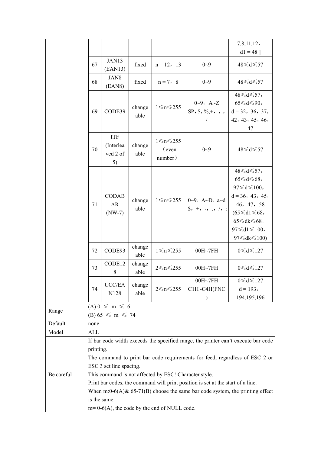|            |                                                                                                                                                                                                                                                                                                                                                                                                                                         |                                                 |                |                                                |                                         | 7,8,11,12,                                                                                                                                                                                                    |  |  |  |
|------------|-----------------------------------------------------------------------------------------------------------------------------------------------------------------------------------------------------------------------------------------------------------------------------------------------------------------------------------------------------------------------------------------------------------------------------------------|-------------------------------------------------|----------------|------------------------------------------------|-----------------------------------------|---------------------------------------------------------------------------------------------------------------------------------------------------------------------------------------------------------------|--|--|--|
|            |                                                                                                                                                                                                                                                                                                                                                                                                                                         |                                                 |                |                                                |                                         | $d1 = 48$ ]                                                                                                                                                                                                   |  |  |  |
|            | 67                                                                                                                                                                                                                                                                                                                                                                                                                                      | JAN13<br>(EAN13)                                | fixed          | $n = 12, 13$                                   | $0 - 9$                                 | $48 \le d \le 57$                                                                                                                                                                                             |  |  |  |
|            | 68                                                                                                                                                                                                                                                                                                                                                                                                                                      | JAN8<br>(EAN8)                                  | fixed          | $n = 7, 8$                                     | $0 - 9$                                 | $48 \le d \le 57$                                                                                                                                                                                             |  |  |  |
|            |                                                                                                                                                                                                                                                                                                                                                                                                                                         |                                                 |                |                                                | $0\text{-}9$ , $A\text{-}Z$             | 48≤d≤57,<br>$65 \le d \le 90$ ,                                                                                                                                                                               |  |  |  |
|            | 69                                                                                                                                                                                                                                                                                                                                                                                                                                      | CODE39                                          | change<br>able | $1 \le n \le 255$                              | $SP, \, \$, \, \%, +, -, . ,$           | $d = 32, 36, 37,$<br>42, 43, 45, 46,<br>47                                                                                                                                                                    |  |  |  |
|            | 70                                                                                                                                                                                                                                                                                                                                                                                                                                      | <b>ITF</b><br>(Interlea<br>ved 2 of<br>5)       | change<br>able | $1 \le n \le 255$<br>(even<br>number)          | $0 - 9$                                 | 48≤d≤57                                                                                                                                                                                                       |  |  |  |
|            | 71                                                                                                                                                                                                                                                                                                                                                                                                                                      | <b>CODAB</b><br>AR<br>$(NW-7)$                  | change<br>able | $1 \le n \le 255$                              | 0~9, A~D, a~d<br>$\$\,$ , +, -, ., /, : | $48 \le d \le 57$ ,<br>$65 \le d \le 68$<br>$97 \le d \le 100$ ,<br>$d = 36, 43, 45,$<br>46, 47, 58<br>$(65 \le d1 \le 68,$<br>$65 \leq d$ k $\leq 68$ ,<br>$97 \le d1 \le 100$ ,<br>$97 \leq d$ k $\leq 100$ |  |  |  |
|            | 72                                                                                                                                                                                                                                                                                                                                                                                                                                      | CODE93                                          | change<br>able | $1 \le n \le 255$                              | 00H~7FH                                 | $0 \le d \le 127$                                                                                                                                                                                             |  |  |  |
|            | 73                                                                                                                                                                                                                                                                                                                                                                                                                                      | CODE12<br>$8\,$                                 | change<br>able | $2 \leq n \leq 255$                            | 00H~7FH                                 | $0 \le d \le 127$                                                                                                                                                                                             |  |  |  |
|            | 74                                                                                                                                                                                                                                                                                                                                                                                                                                      | $\ensuremath{\mathsf{UCC}/\mathsf{EA}}$<br>N128 | change<br>able | $2 \leq n \leq 255$                            | $00H\sim7FH$<br>C1H~C4H(FNC             | $0 \le d \le 127$<br>$d = 193,$<br>194, 195, 196                                                                                                                                                              |  |  |  |
| Range      | $(A) 0 \leq m \leq 6$<br>(B) $65 \le m \le 74$                                                                                                                                                                                                                                                                                                                                                                                          |                                                 |                |                                                |                                         |                                                                                                                                                                                                               |  |  |  |
| Default    | none                                                                                                                                                                                                                                                                                                                                                                                                                                    |                                                 |                |                                                |                                         |                                                                                                                                                                                                               |  |  |  |
| Model      | ALL                                                                                                                                                                                                                                                                                                                                                                                                                                     |                                                 |                |                                                |                                         |                                                                                                                                                                                                               |  |  |  |
|            |                                                                                                                                                                                                                                                                                                                                                                                                                                         |                                                 |                |                                                |                                         |                                                                                                                                                                                                               |  |  |  |
| Be careful | If bar code width exceeds the specified range, the printer can't execute bar code<br>printing.<br>The command to print bar code requirements for feed, regardless of ESC 2 or<br>ESC 3 set line spacing.<br>This command is not affected by ESC! Character style.<br>Print bar codes, the command will print position is set at the start of a line.<br>When m:0-6(A) $& 65-71(B)$ choose the same bar code system, the printing effect |                                                 |                |                                                |                                         |                                                                                                                                                                                                               |  |  |  |
|            |                                                                                                                                                                                                                                                                                                                                                                                                                                         | is the same.                                    |                | $m=0-6(A)$ , the code by the end of NULL code. |                                         |                                                                                                                                                                                                               |  |  |  |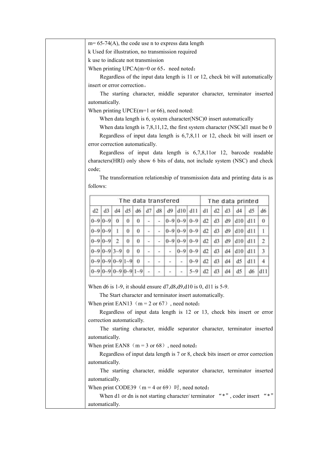|                                                                         | $m=65-74(A)$ , the code use n to express data length                                                                             |    |          |          |                       |                          |    |                          |                                                                      |    |    |    |                |     |                                                                                  |
|-------------------------------------------------------------------------|----------------------------------------------------------------------------------------------------------------------------------|----|----------|----------|-----------------------|--------------------------|----|--------------------------|----------------------------------------------------------------------|----|----|----|----------------|-----|----------------------------------------------------------------------------------|
|                                                                         | k Used for illustration, no transmission required                                                                                |    |          |          |                       |                          |    |                          |                                                                      |    |    |    |                |     |                                                                                  |
|                                                                         | k use to indicate not transmission                                                                                               |    |          |          |                       |                          |    |                          |                                                                      |    |    |    |                |     |                                                                                  |
|                                                                         | When printing $UPCA(m=0 \text{ or } 65$ , need noted:                                                                            |    |          |          |                       |                          |    |                          |                                                                      |    |    |    |                |     |                                                                                  |
|                                                                         |                                                                                                                                  |    |          |          |                       |                          |    |                          |                                                                      |    |    |    |                |     | Regardless of the input data length is 11 or 12, check bit will automatically    |
|                                                                         | insert or error correction.                                                                                                      |    |          |          |                       |                          |    |                          |                                                                      |    |    |    |                |     |                                                                                  |
|                                                                         |                                                                                                                                  |    |          |          |                       |                          |    |                          |                                                                      |    |    |    |                |     | The starting character, middle separator character, terminator inserted          |
|                                                                         | automatically.                                                                                                                   |    |          |          |                       |                          |    |                          |                                                                      |    |    |    |                |     |                                                                                  |
|                                                                         | When printing $UPCE(m=1 \text{ or } 66)$ , need noted:                                                                           |    |          |          |                       |                          |    |                          |                                                                      |    |    |    |                |     |                                                                                  |
|                                                                         | When data length is 6, system character(NSC)0 insert automatically                                                               |    |          |          |                       |                          |    |                          |                                                                      |    |    |    |                |     |                                                                                  |
|                                                                         | When data length is $7,8,11,12$ , the first system character (NSC)d1 must be 0                                                   |    |          |          |                       |                          |    |                          |                                                                      |    |    |    |                |     |                                                                                  |
|                                                                         |                                                                                                                                  |    |          |          |                       |                          |    |                          |                                                                      |    |    |    |                |     | Regardless of input data length is 6,7,8,11 or 12, check bit will insert or      |
|                                                                         | error correction automatically.                                                                                                  |    |          |          |                       |                          |    |                          |                                                                      |    |    |    |                |     |                                                                                  |
|                                                                         |                                                                                                                                  |    |          |          |                       |                          |    |                          |                                                                      |    |    |    |                |     | Regardless of input data length is 6,7,8,11 or 12, barcode readable              |
|                                                                         | characters(HRI) only show 6 bits of data, not include system (NSC) and check                                                     |    |          |          |                       |                          |    |                          |                                                                      |    |    |    |                |     |                                                                                  |
| code;                                                                   |                                                                                                                                  |    |          |          |                       |                          |    |                          |                                                                      |    |    |    |                |     |                                                                                  |
|                                                                         |                                                                                                                                  |    |          |          |                       |                          |    |                          |                                                                      |    |    |    |                |     | The transformation relationship of transmission data and printing data is as     |
| follows:                                                                |                                                                                                                                  |    |          |          |                       |                          |    |                          |                                                                      |    |    |    |                |     |                                                                                  |
|                                                                         | The data transfered<br>The data printed                                                                                          |    |          |          |                       |                          |    |                          |                                                                      |    |    |    |                |     |                                                                                  |
|                                                                         |                                                                                                                                  |    |          |          |                       |                          |    |                          |                                                                      |    |    |    |                |     |                                                                                  |
| d2                                                                      | d3                                                                                                                               | d4 | d5       | d6       | d7                    | d8                       | d9 |                          | d10 d11                                                              | d1 | d2 | d3 | d4             | d5  | d6                                                                               |
|                                                                         | $0 - 9$ $0 - 9$ 0                                                                                                                |    | $\bf{0}$ | $\theta$ |                       | $\frac{1}{2}$            |    |                          | $0 - 9$ $0 - 9$ $0 - 9$                                              | d2 | d3 | d9 | d10            | d11 | 0                                                                                |
|                                                                         | $0 - 9$ $0 - 9$                                                                                                                  |    | $\bf{0}$ | $\theta$ |                       | ¥                        |    |                          | $0 - 9$ $0 - 9$ $0 - 9$                                              | d2 | d3 | d9 | d10            | d11 |                                                                                  |
|                                                                         | $0 - 9$ $0 - 9$ 2                                                                                                                |    | $\theta$ | $\theta$ | $\tilde{\phantom{a}}$ | $\overline{\phantom{a}}$ |    |                          | $0 - 9$ $0 - 9$ $0 - 9$                                              | d2 | d3 | d9 | d10            | d11 | 2                                                                                |
|                                                                         | $0 - 9$ $0 - 9$ $3 - 9$                                                                                                          |    | $\Omega$ | $\Omega$ | ۰                     | $\overline{\phantom{a}}$ |    |                          | $0 - 9$ $0 - 9$                                                      | d2 | d3 | d4 | d10            | d11 | 3                                                                                |
|                                                                         | $0-9$ $0-9$ $0-9$ $1-9$ $0$                                                                                                      |    |          |          |                       | $\overline{\phantom{a}}$ |    | $\overline{\phantom{a}}$ | $0 - 9$                                                              | d2 | d3 | d4 | d5             | d11 | 4                                                                                |
|                                                                         | $0-9$ $0-9$ $0-9$ $0-9$ $1-9$                                                                                                    |    |          |          |                       |                          |    |                          | $5 - 9$                                                              | d2 | d3 | d4 | d <sub>5</sub> | d6  | d11                                                                              |
|                                                                         |                                                                                                                                  |    |          |          |                       |                          |    |                          |                                                                      |    |    |    |                |     |                                                                                  |
|                                                                         |                                                                                                                                  |    |          |          |                       |                          |    |                          |                                                                      |    |    |    |                |     |                                                                                  |
|                                                                         | When d6 is 1-9, it should ensure $d7, d8, d9, d10$ is 0, d11 is 5-9.<br>The Start character and terminator insert automatically. |    |          |          |                       |                          |    |                          |                                                                      |    |    |    |                |     |                                                                                  |
|                                                                         | When print EAN13 ( $m = 2$ or 67), need noted:                                                                                   |    |          |          |                       |                          |    |                          |                                                                      |    |    |    |                |     |                                                                                  |
| Regardless of input data length is 12 or 13, check bits insert or error |                                                                                                                                  |    |          |          |                       |                          |    |                          |                                                                      |    |    |    |                |     |                                                                                  |
|                                                                         | correction automatically.                                                                                                        |    |          |          |                       |                          |    |                          |                                                                      |    |    |    |                |     |                                                                                  |
|                                                                         |                                                                                                                                  |    |          |          |                       |                          |    |                          |                                                                      |    |    |    |                |     |                                                                                  |
|                                                                         | The starting character, middle separator character, terminator inserted<br>automatically.                                        |    |          |          |                       |                          |    |                          |                                                                      |    |    |    |                |     |                                                                                  |
|                                                                         | When print EAN8 $(m = 3 \text{ or } 68)$ , need noted:                                                                           |    |          |          |                       |                          |    |                          |                                                                      |    |    |    |                |     |                                                                                  |
|                                                                         |                                                                                                                                  |    |          |          |                       |                          |    |                          |                                                                      |    |    |    |                |     | Regardless of input data length is 7 or 8, check bits insert or error correction |
|                                                                         | automatically.                                                                                                                   |    |          |          |                       |                          |    |                          |                                                                      |    |    |    |                |     |                                                                                  |
|                                                                         |                                                                                                                                  |    |          |          |                       |                          |    |                          |                                                                      |    |    |    |                |     | The starting character, middle separator character, terminator inserted          |
|                                                                         | automatically.                                                                                                                   |    |          |          |                       |                          |    |                          |                                                                      |    |    |    |                |     |                                                                                  |
|                                                                         | When print CODE39 ( $m = 4$ or 69) $H$ , need noted:                                                                             |    |          |          |                       |                          |    |                          |                                                                      |    |    |    |                |     |                                                                                  |
|                                                                         |                                                                                                                                  |    |          |          |                       |                          |    |                          | When d1 or dn is not starting character/terminator "*", coder insert |    |    |    |                |     | $(6 * 2)$                                                                        |
|                                                                         |                                                                                                                                  |    |          |          |                       |                          |    |                          |                                                                      |    |    |    |                |     |                                                                                  |
|                                                                         | automatically.                                                                                                                   |    |          |          |                       |                          |    |                          |                                                                      |    |    |    |                |     |                                                                                  |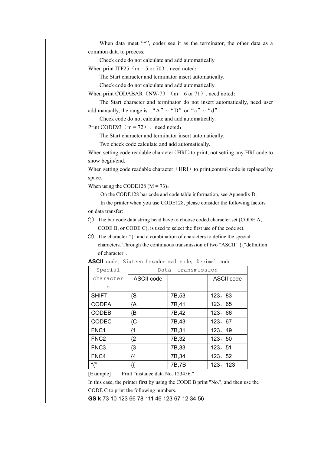| When data meet "*", coder see it as the terminator, the other data as a   |                                                                      |                   |                                                                                   |  |  |  |  |  |  |
|---------------------------------------------------------------------------|----------------------------------------------------------------------|-------------------|-----------------------------------------------------------------------------------|--|--|--|--|--|--|
| common data to process;                                                   |                                                                      |                   |                                                                                   |  |  |  |  |  |  |
|                                                                           | Check code do not calculate and add automatically                    |                   |                                                                                   |  |  |  |  |  |  |
| When print ITF25 ( $m = 5$ or 70), need noted:                            |                                                                      |                   |                                                                                   |  |  |  |  |  |  |
| The Start character and terminator insert automatically.                  |                                                                      |                   |                                                                                   |  |  |  |  |  |  |
|                                                                           | Check code do not calculate and add automatically.                   |                   |                                                                                   |  |  |  |  |  |  |
| When print CODABAR $(NW-7)$ $(m = 6 \text{ or } 71)$ , need noted:        |                                                                      |                   |                                                                                   |  |  |  |  |  |  |
| The Start character and terminator do not insert automatically, need user |                                                                      |                   |                                                                                   |  |  |  |  |  |  |
|                                                                           | add manually, the range is "A" $\sim$ "D" or "a" $\sim$ "d"          |                   |                                                                                   |  |  |  |  |  |  |
|                                                                           | Check code do not calculate and add automatically.                   |                   |                                                                                   |  |  |  |  |  |  |
|                                                                           | Print CODE93 $(m = 72)$ , need noted:                                |                   |                                                                                   |  |  |  |  |  |  |
|                                                                           | The Start character and terminator insert automatically.             |                   |                                                                                   |  |  |  |  |  |  |
|                                                                           | Two check code calculate and add automatically.                      |                   |                                                                                   |  |  |  |  |  |  |
|                                                                           |                                                                      |                   | When setting code readable character (HRI) to print, not setting any HRI code to  |  |  |  |  |  |  |
| show begin/end.                                                           |                                                                      |                   |                                                                                   |  |  |  |  |  |  |
|                                                                           |                                                                      |                   | When setting code readable character (HRI) to print, control code is replaced by  |  |  |  |  |  |  |
| space.                                                                    |                                                                      |                   |                                                                                   |  |  |  |  |  |  |
|                                                                           | When using the CODE128 ( $M = 73$ ):                                 |                   |                                                                                   |  |  |  |  |  |  |
|                                                                           |                                                                      |                   | On the CODE128 bar code and code table information, see Appendix D.               |  |  |  |  |  |  |
|                                                                           |                                                                      |                   | In the printer when you use CODE128, please consider the following factors        |  |  |  |  |  |  |
| on data transfer:                                                         |                                                                      |                   |                                                                                   |  |  |  |  |  |  |
| (1)                                                                       |                                                                      |                   | The bar code data string head have to choose coded character set (CODE A,         |  |  |  |  |  |  |
|                                                                           | CODE B, or CODE C), is used to select the first use of the code set. |                   |                                                                                   |  |  |  |  |  |  |
|                                                                           |                                                                      |                   | 2 The character "{" and a combination of characters to define the special         |  |  |  |  |  |  |
|                                                                           |                                                                      |                   | characters. Through the continuous transmission of two "ASCII" { {"definition"    |  |  |  |  |  |  |
|                                                                           | of character".                                                       |                   |                                                                                   |  |  |  |  |  |  |
|                                                                           | <b>ASCII</b> code, Sixteen hexadecimal code, Decimal code            |                   |                                                                                   |  |  |  |  |  |  |
| Special                                                                   |                                                                      | Data transmission |                                                                                   |  |  |  |  |  |  |
| character                                                                 | ASCII code                                                           |                   | <b>ASCII code</b>                                                                 |  |  |  |  |  |  |
| S                                                                         |                                                                      |                   |                                                                                   |  |  |  |  |  |  |
| <b>SHIFT</b>                                                              | $\{S$                                                                | 7B,53             | 123, 83                                                                           |  |  |  |  |  |  |
| <b>CODEA</b>                                                              | {A                                                                   | 7B,41             | 123, 65                                                                           |  |  |  |  |  |  |
| <b>CODEB</b>                                                              | {B                                                                   | 7B,42             | 123, 66                                                                           |  |  |  |  |  |  |
| <b>CODEC</b>                                                              | ${C}$                                                                | 7B,43             | 123, 67                                                                           |  |  |  |  |  |  |
| FNC1                                                                      | ${1}$                                                                | 7B,31             | 123, 49                                                                           |  |  |  |  |  |  |
| FNC <sub>2</sub>                                                          | ${2}$                                                                | 7B,32             | 123, 50                                                                           |  |  |  |  |  |  |
| FNC <sub>3</sub>                                                          | ${3}$                                                                | 7B,33             | 123, 51                                                                           |  |  |  |  |  |  |
| FNC4                                                                      | ${4}$                                                                | 7B, 34            | 123, 52                                                                           |  |  |  |  |  |  |
| "{"                                                                       | {{                                                                   | 7B,7B             | 123, 123                                                                          |  |  |  |  |  |  |
| [Example]                                                                 | Print "instance data No. 123456."                                    |                   |                                                                                   |  |  |  |  |  |  |
|                                                                           |                                                                      |                   | In this case, the printer first by using the CODE B print "No.", and then use the |  |  |  |  |  |  |
|                                                                           | CODE C to print the following numbers.                               |                   |                                                                                   |  |  |  |  |  |  |
|                                                                           | GS k 73 10 123 66 78 111 46 123 67 12 34 56                          |                   |                                                                                   |  |  |  |  |  |  |
|                                                                           |                                                                      |                   |                                                                                   |  |  |  |  |  |  |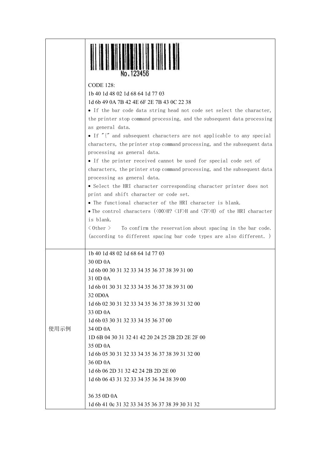| <b>CODE 128:</b><br>1b 40 1d 48 02 1d 68 64 1d 77 03<br>1d 6b 49 0A 7B 42 4E 6F 2E 7B 43 0C 22 38<br>• If the bar code data string head not code set select the character,<br>the printer stop command processing, and the subsequent data processing<br>as general data.<br>• If "{" and subsequent characters are not applicable to any special<br>characters, the printer stop command processing, and the subsequent data<br>processing as general data.<br>• If the printer received cannot be used for special code set of<br>characters, the printer stop command processing, and the subsequent data<br>processing as general data.<br>• Select the HRI character corresponding character printer does not<br>print and shift character or code set.<br>• The functional character of the HRI character is blank. |
|---------------------------------------------------------------------------------------------------------------------------------------------------------------------------------------------------------------------------------------------------------------------------------------------------------------------------------------------------------------------------------------------------------------------------------------------------------------------------------------------------------------------------------------------------------------------------------------------------------------------------------------------------------------------------------------------------------------------------------------------------------------------------------------------------------------------------|
|                                                                                                                                                                                                                                                                                                                                                                                                                                                                                                                                                                                                                                                                                                                                                                                                                           |
|                                                                                                                                                                                                                                                                                                                                                                                                                                                                                                                                                                                                                                                                                                                                                                                                                           |
|                                                                                                                                                                                                                                                                                                                                                                                                                                                                                                                                                                                                                                                                                                                                                                                                                           |
|                                                                                                                                                                                                                                                                                                                                                                                                                                                                                                                                                                                                                                                                                                                                                                                                                           |
|                                                                                                                                                                                                                                                                                                                                                                                                                                                                                                                                                                                                                                                                                                                                                                                                                           |
|                                                                                                                                                                                                                                                                                                                                                                                                                                                                                                                                                                                                                                                                                                                                                                                                                           |
|                                                                                                                                                                                                                                                                                                                                                                                                                                                                                                                                                                                                                                                                                                                                                                                                                           |
|                                                                                                                                                                                                                                                                                                                                                                                                                                                                                                                                                                                                                                                                                                                                                                                                                           |
|                                                                                                                                                                                                                                                                                                                                                                                                                                                                                                                                                                                                                                                                                                                                                                                                                           |
|                                                                                                                                                                                                                                                                                                                                                                                                                                                                                                                                                                                                                                                                                                                                                                                                                           |
|                                                                                                                                                                                                                                                                                                                                                                                                                                                                                                                                                                                                                                                                                                                                                                                                                           |
|                                                                                                                                                                                                                                                                                                                                                                                                                                                                                                                                                                                                                                                                                                                                                                                                                           |
|                                                                                                                                                                                                                                                                                                                                                                                                                                                                                                                                                                                                                                                                                                                                                                                                                           |
|                                                                                                                                                                                                                                                                                                                                                                                                                                                                                                                                                                                                                                                                                                                                                                                                                           |
|                                                                                                                                                                                                                                                                                                                                                                                                                                                                                                                                                                                                                                                                                                                                                                                                                           |
|                                                                                                                                                                                                                                                                                                                                                                                                                                                                                                                                                                                                                                                                                                                                                                                                                           |
| • The control characters $(\langle 00 \rangle H? \langle 1F \rangle H$ and $\langle 7F \rangle H)$ of the HRI character                                                                                                                                                                                                                                                                                                                                                                                                                                                                                                                                                                                                                                                                                                   |
| is blank.                                                                                                                                                                                                                                                                                                                                                                                                                                                                                                                                                                                                                                                                                                                                                                                                                 |
| $\langle$ 0ther $\rangle$<br>To confirm the reservation about spacing in the bar code.                                                                                                                                                                                                                                                                                                                                                                                                                                                                                                                                                                                                                                                                                                                                    |
| (according to different spacing bar code types are also different.)                                                                                                                                                                                                                                                                                                                                                                                                                                                                                                                                                                                                                                                                                                                                                       |
| 1b 40 1d 48 02 1d 68 64 1d 77 03                                                                                                                                                                                                                                                                                                                                                                                                                                                                                                                                                                                                                                                                                                                                                                                          |
| 30 0D 0A                                                                                                                                                                                                                                                                                                                                                                                                                                                                                                                                                                                                                                                                                                                                                                                                                  |
| 1d 6b 00 30 31 32 33 34 35 36 37 38 39 31 00                                                                                                                                                                                                                                                                                                                                                                                                                                                                                                                                                                                                                                                                                                                                                                              |
| 31 0D 0A                                                                                                                                                                                                                                                                                                                                                                                                                                                                                                                                                                                                                                                                                                                                                                                                                  |
| 1d 6b 01 30 31 32 33 34 35 36 37 38 39 31 00                                                                                                                                                                                                                                                                                                                                                                                                                                                                                                                                                                                                                                                                                                                                                                              |
| 32 0D0A                                                                                                                                                                                                                                                                                                                                                                                                                                                                                                                                                                                                                                                                                                                                                                                                                   |
| 1d 6b 02 30 31 32 33 34 35 36 37 38 39 31 32 00                                                                                                                                                                                                                                                                                                                                                                                                                                                                                                                                                                                                                                                                                                                                                                           |
| 33 0D 0A                                                                                                                                                                                                                                                                                                                                                                                                                                                                                                                                                                                                                                                                                                                                                                                                                  |
| 1d 6b 03 30 31 32 33 34 35 36 37 00                                                                                                                                                                                                                                                                                                                                                                                                                                                                                                                                                                                                                                                                                                                                                                                       |
| 使用示例<br>34 0D 0A                                                                                                                                                                                                                                                                                                                                                                                                                                                                                                                                                                                                                                                                                                                                                                                                          |
| 1D 6B 04 30 31 32 41 42 20 24 25 2B 2D 2E 2F 00                                                                                                                                                                                                                                                                                                                                                                                                                                                                                                                                                                                                                                                                                                                                                                           |
| 35 0D 0A                                                                                                                                                                                                                                                                                                                                                                                                                                                                                                                                                                                                                                                                                                                                                                                                                  |
| 1d 6b 05 30 31 32 33 34 35 36 37 38 39 31 32 00                                                                                                                                                                                                                                                                                                                                                                                                                                                                                                                                                                                                                                                                                                                                                                           |
| 36 0D 0A                                                                                                                                                                                                                                                                                                                                                                                                                                                                                                                                                                                                                                                                                                                                                                                                                  |
| 1d 6b 06 2D 31 32 42 24 2B 2D 2E 00<br>1d 6b 06 43 31 32 33 34 35 36 34 38 39 00                                                                                                                                                                                                                                                                                                                                                                                                                                                                                                                                                                                                                                                                                                                                          |
|                                                                                                                                                                                                                                                                                                                                                                                                                                                                                                                                                                                                                                                                                                                                                                                                                           |
| 36 35 0D 0A                                                                                                                                                                                                                                                                                                                                                                                                                                                                                                                                                                                                                                                                                                                                                                                                               |
| 1d 6b 41 0c 31 32 33 34 35 36 37 38 39 30 31 32                                                                                                                                                                                                                                                                                                                                                                                                                                                                                                                                                                                                                                                                                                                                                                           |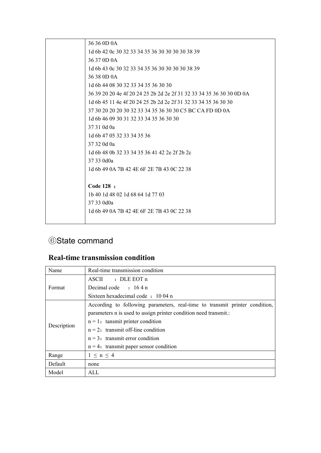|  | 36 36 0D 0A                                                          |
|--|----------------------------------------------------------------------|
|  | 1d 6b 42 0c 30 32 33 34 35 36 30 30 30 30 38 39                      |
|  | 36 37 0D 0A                                                          |
|  | 1d 6b 43 0c 30 32 33 34 35 36 30 30 30 30 38 39                      |
|  | 36 38 0D 0A                                                          |
|  | 1d 6b 44 08 30 32 33 34 35 36 30 30                                  |
|  | 36 39 20 20 4e 4f 20 24 25 2b 2d 2e 2f 31 32 33 34 35 36 30 30 0D 0A |
|  | 1d 6b 45 11 4e 4f 20 24 25 2b 2d 2e 2f 31 32 33 34 35 36 30 30       |
|  | 37 30 20 20 20 30 32 33 34 35 36 30 30 C5 BC CA FD 0D 0A             |
|  | 1d 6b 46 09 30 31 32 33 34 35 36 30 30                               |
|  | 37 31 0d 0a                                                          |
|  | 1d 6b 47 05 32 33 34 35 36                                           |
|  | 37 32 0d 0a                                                          |
|  | 1d 6b 48 0b 32 33 34 35 36 41 42 2e 2f 2b 2c                         |
|  | 37 33 0d0a                                                           |
|  | 1d 6b 49 0A 7B 42 4E 6F 2E 7B 43 0C 22 38                            |
|  |                                                                      |
|  | Code 128 :                                                           |
|  | 1b 40 1d 48 02 1d 68 64 1d 77 03                                     |
|  | 37 33 0d0a                                                           |
|  | 1d 6b 49 0A 7B 42 4E 6F 2E 7B 43 0C 22 38                            |
|  |                                                                      |

#### <span id="page-38-0"></span>⑥State command

#### <span id="page-38-1"></span>**Real-time transmission condition**

| Name        | Real-time transmission condition                                            |
|-------------|-----------------------------------------------------------------------------|
|             | $ASCII$ : DLE EOT n                                                         |
| Format      | Decimal code : 164 n                                                        |
|             | Sixteen hexadecimal code: 10.04 n                                           |
|             | According to following parameters, real-time to transmit printer condition, |
|             | parameters n is used to assign printer condition need transmit.:            |
| Description | $n = 1$ : tansmit printer condition                                         |
|             | $n = 2$ : transmit off-line condition                                       |
|             | $n = 3$ : transmit error condition                                          |
|             | $n = 4$ : transmit paper sensor condition                                   |
| Range       | $1 \leq n \leq 4$                                                           |
| Default     | none                                                                        |
| Model       | ALL                                                                         |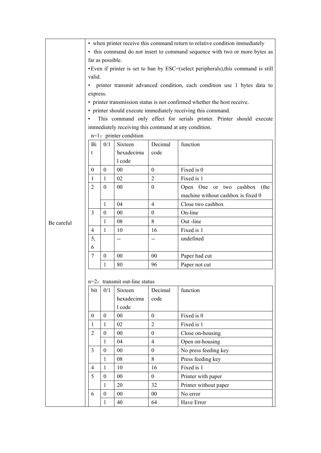|            | • when printer receive this command return to relative condition immediately         |                  |                                  |                          |                                    |  |  |  |  |  |  |
|------------|--------------------------------------------------------------------------------------|------------------|----------------------------------|--------------------------|------------------------------------|--|--|--|--|--|--|
|            | • this command do not insert to command sequence with two or more bytes as           |                  |                                  |                          |                                    |  |  |  |  |  |  |
|            | far as possible.                                                                     |                  |                                  |                          |                                    |  |  |  |  |  |  |
|            | • Even if printer is set to ban by ESC=(select peripherals), this command is still   |                  |                                  |                          |                                    |  |  |  |  |  |  |
|            | valid.                                                                               |                  |                                  |                          |                                    |  |  |  |  |  |  |
|            | printer transmit advanced condition, each condition use 1 bytes data to<br>$\bullet$ |                  |                                  |                          |                                    |  |  |  |  |  |  |
|            | express.                                                                             |                  |                                  |                          |                                    |  |  |  |  |  |  |
|            | • printer transmission status is not confirmed whether the host receive.             |                  |                                  |                          |                                    |  |  |  |  |  |  |
|            | • printer should execute immediately receiving this command.                         |                  |                                  |                          |                                    |  |  |  |  |  |  |
|            | This command only effect for serials printer. Printer should execute<br>$\bullet$    |                  |                                  |                          |                                    |  |  |  |  |  |  |
|            | immediately receiving this command at any condition.                                 |                  |                                  |                          |                                    |  |  |  |  |  |  |
|            |                                                                                      |                  | $n=1$ : printer condition        |                          |                                    |  |  |  |  |  |  |
|            | Bi                                                                                   | 0/1              | Sixteen                          | Decimal                  | function                           |  |  |  |  |  |  |
|            | t                                                                                    |                  | hexadecima                       | code                     |                                    |  |  |  |  |  |  |
|            |                                                                                      | 1 code           |                                  |                          |                                    |  |  |  |  |  |  |
|            | $\boldsymbol{0}$                                                                     | $\boldsymbol{0}$ | 00                               | $\boldsymbol{0}$         | Fixed is 0                         |  |  |  |  |  |  |
|            | $\mathbf{1}$                                                                         | 1                | 02                               | $\overline{2}$           | Fixed is 1                         |  |  |  |  |  |  |
|            | $\overline{2}$                                                                       | $\mathbf{0}$     | 00                               | $\boldsymbol{0}$         | Open One or two cashbox (the       |  |  |  |  |  |  |
|            |                                                                                      |                  |                                  |                          | machine without cashbox is fixed 0 |  |  |  |  |  |  |
|            |                                                                                      | 1                | 04                               | $\overline{4}$           | Close two cashbox                  |  |  |  |  |  |  |
|            | 3                                                                                    | $\boldsymbol{0}$ | 00                               | $\boldsymbol{0}$         | On-line                            |  |  |  |  |  |  |
| Be careful |                                                                                      | 1                | 08                               | 8                        | Out-line                           |  |  |  |  |  |  |
|            | 4                                                                                    | $\mathbf{1}$     | 10                               | 16                       | Fixed is 1                         |  |  |  |  |  |  |
|            | 5,                                                                                   |                  | $-$                              | $\overline{\phantom{a}}$ | undefined                          |  |  |  |  |  |  |
|            | 6                                                                                    |                  |                                  |                          |                                    |  |  |  |  |  |  |
|            | 7                                                                                    | $\mathbf{0}$     | 00                               | 00                       | Paper had cut                      |  |  |  |  |  |  |
|            |                                                                                      | $\mathbf{1}$     | 80                               | 96                       | Paper not cut                      |  |  |  |  |  |  |
|            |                                                                                      |                  |                                  |                          |                                    |  |  |  |  |  |  |
|            |                                                                                      |                  | $n=2$ : transmit out-line status |                          |                                    |  |  |  |  |  |  |
|            | bit                                                                                  | 0/1              | Sixteen                          | Decimal                  | function                           |  |  |  |  |  |  |
|            |                                                                                      |                  | hexadecima                       | code                     |                                    |  |  |  |  |  |  |
|            |                                                                                      |                  | 1 code                           |                          |                                    |  |  |  |  |  |  |
|            | $\boldsymbol{0}$                                                                     | $\mathbf{0}$     | 00                               | $\boldsymbol{0}$         | Fixed is 0                         |  |  |  |  |  |  |
|            | $\mathbf{1}$                                                                         | $\mathbf{1}$     | 02                               | $\overline{2}$           | Fixed is 1                         |  |  |  |  |  |  |
|            | $\sqrt{2}$                                                                           | $\mathbf{0}$     | $00\,$                           | $\boldsymbol{0}$         | Close on-housing                   |  |  |  |  |  |  |
|            |                                                                                      |                  | 04                               | $\overline{4}$           | Open on-housing                    |  |  |  |  |  |  |
|            | $\overline{3}$                                                                       | $\mathbf{1}$     |                                  |                          |                                    |  |  |  |  |  |  |
|            |                                                                                      | $\boldsymbol{0}$ | $00\,$                           | $\boldsymbol{0}$         | No press feeding key               |  |  |  |  |  |  |
|            |                                                                                      | $\mathbf{1}$     | 08                               | $8\,$                    | Press feeding key                  |  |  |  |  |  |  |
|            | $\overline{4}$                                                                       | $\mathbf{1}$     | 10                               | 16                       | Fixed is 1                         |  |  |  |  |  |  |
|            | 5                                                                                    | $\mathbf{0}$     | $00\,$                           | $\mathbf{0}$             | Printer with paper                 |  |  |  |  |  |  |
|            |                                                                                      | $\mathbf{1}$     | 20                               | 32                       | Printer without paper              |  |  |  |  |  |  |
|            | 6                                                                                    | $\boldsymbol{0}$ | $00\,$                           | $00\,$                   | No error                           |  |  |  |  |  |  |
|            |                                                                                      | 1                | 40                               | 64                       | Have Error                         |  |  |  |  |  |  |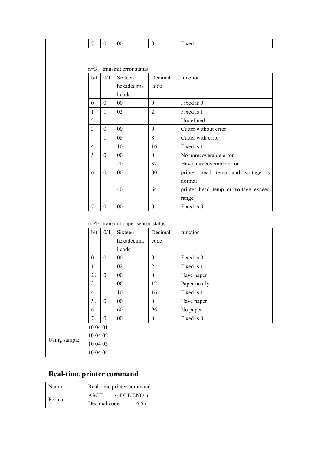|              | $\overline{7}$                | $\boldsymbol{0}$ | 00                                   | $\mathbf{0}$                   | Fixed                               |  |  |  |  |
|--------------|-------------------------------|------------------|--------------------------------------|--------------------------------|-------------------------------------|--|--|--|--|
|              |                               |                  |                                      |                                |                                     |  |  |  |  |
|              |                               |                  |                                      |                                |                                     |  |  |  |  |
|              | $n=3$ : transmit error status |                  |                                      |                                |                                     |  |  |  |  |
|              | bit                           | 0/1              | Sixteen                              | Decimal                        | function                            |  |  |  |  |
|              |                               |                  | hexadecima                           | code                           |                                     |  |  |  |  |
|              |                               |                  | l code                               |                                |                                     |  |  |  |  |
|              | $\boldsymbol{0}$              | $\boldsymbol{0}$ | $00\,$                               | Fixed is 0<br>$\boldsymbol{0}$ |                                     |  |  |  |  |
|              | $\mathbf{1}$                  | $\mathbf{1}$     | 02                                   | $\overline{2}$                 | Fixed is 1                          |  |  |  |  |
|              | $\overline{2}$                |                  | $\mathbb{L}^2$                       | $\overline{a}$                 | Undefined                           |  |  |  |  |
|              | $\overline{3}$                | $\boldsymbol{0}$ | 00                                   | $\boldsymbol{0}$               | Cutter without error                |  |  |  |  |
|              |                               | $\mathbf{1}$     | 08                                   | 8                              | Cutter with error                   |  |  |  |  |
|              | $\overline{4}$                | $\mathbf{1}$     | 10                                   | 16                             | Fixed is 1                          |  |  |  |  |
|              | 5                             | $\boldsymbol{0}$ | 00                                   | $\boldsymbol{0}$               | No unrecoverable error              |  |  |  |  |
|              |                               | $\mathbf{1}$     | 32<br>Have unrecoverable error<br>20 |                                |                                     |  |  |  |  |
|              | 6                             | $\boldsymbol{0}$ | $00\,$                               | $00\,$                         | printer head temp and voltage is    |  |  |  |  |
|              |                               |                  |                                      |                                | normal                              |  |  |  |  |
|              |                               | $\mathbf{1}$     | 40                                   | 64                             | printer head temp or voltage exceed |  |  |  |  |
|              |                               |                  |                                      |                                | range                               |  |  |  |  |
|              | $\overline{7}$                | $\boldsymbol{0}$ | 00                                   | $\boldsymbol{0}$               | Fixed is 0                          |  |  |  |  |
|              |                               |                  |                                      |                                |                                     |  |  |  |  |
|              |                               |                  | n=4: transmit paper sensor status    |                                |                                     |  |  |  |  |
|              | bit                           | 0/1              | Sixteen                              | Decimal                        | function                            |  |  |  |  |
|              |                               |                  | hexadecima                           | code                           |                                     |  |  |  |  |
|              |                               |                  | l code                               |                                |                                     |  |  |  |  |
|              | $\boldsymbol{0}$              | $\boldsymbol{0}$ | $00\,$                               | $\boldsymbol{0}$               | Fixed is 0                          |  |  |  |  |
|              | 1                             | $\mathbf{1}$     | 02                                   | $\overline{2}$                 | Fixed is 1                          |  |  |  |  |
|              | 2,                            | $\boldsymbol{0}$ | 00                                   | $\boldsymbol{0}$               | Have paper                          |  |  |  |  |
|              | $\overline{3}$                | $\mathbf{1}$     | 0 <sup>C</sup>                       | 12                             | Paper nearly                        |  |  |  |  |
|              | $\overline{4}$                | $\mathbf{1}$     | 10                                   | 16                             | Fixed is 1                          |  |  |  |  |
|              | 5,                            | $\boldsymbol{0}$ | $00\,$                               | $\boldsymbol{0}$               | Have paper                          |  |  |  |  |
|              | 6                             | $\mathbf{1}$     | 60                                   | 96                             | No paper                            |  |  |  |  |
|              | $\overline{7}$                | $\boldsymbol{0}$ | $00\,$                               | $\boldsymbol{0}$               | Fixed is 0                          |  |  |  |  |
|              | 10 04 01                      |                  |                                      |                                |                                     |  |  |  |  |
| Using sample | 10 04 02                      |                  |                                      |                                |                                     |  |  |  |  |
|              | 10 04 03                      |                  |                                      |                                |                                     |  |  |  |  |
|              | $10\;04\;04$                  |                  |                                      |                                |                                     |  |  |  |  |

#### <span id="page-40-0"></span>**Real-time printer command**

| Name   | Real-time printer command      |
|--------|--------------------------------|
| Format | ASCII : DLE ENQ n              |
|        | Decimal code $\qquad$ : 16.5 n |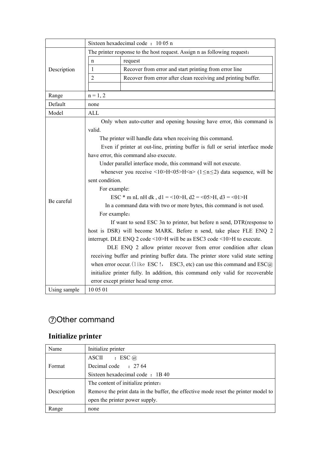|              | Sixteen hexadecimal code: 10 05 n                                                           |                                                                                               |  |  |  |  |  |  |  |  |
|--------------|---------------------------------------------------------------------------------------------|-----------------------------------------------------------------------------------------------|--|--|--|--|--|--|--|--|
|              |                                                                                             | The printer response to the host request. Assign n as following request:                      |  |  |  |  |  |  |  |  |
|              | request<br>n                                                                                |                                                                                               |  |  |  |  |  |  |  |  |
| Description  | $\mathbf{1}$                                                                                | Recover from error and start printing from error line                                         |  |  |  |  |  |  |  |  |
|              | $\overline{2}$                                                                              | Recover from error after clean receiving and printing buffer.                                 |  |  |  |  |  |  |  |  |
|              |                                                                                             |                                                                                               |  |  |  |  |  |  |  |  |
| Range        | $n = 1, 2$                                                                                  |                                                                                               |  |  |  |  |  |  |  |  |
| Default      | none                                                                                        |                                                                                               |  |  |  |  |  |  |  |  |
| Model        | ALL                                                                                         |                                                                                               |  |  |  |  |  |  |  |  |
|              |                                                                                             | Only when auto-cutter and opening housing have error, this command is                         |  |  |  |  |  |  |  |  |
|              | valid.                                                                                      |                                                                                               |  |  |  |  |  |  |  |  |
|              | The printer will handle data when receiving this command.                                   |                                                                                               |  |  |  |  |  |  |  |  |
|              | Even if printer at out-line, printing buffer is full or serial interface mode               |                                                                                               |  |  |  |  |  |  |  |  |
|              | have error, this command also execute.                                                      |                                                                                               |  |  |  |  |  |  |  |  |
|              | Under parallel interface mode, this command will not execute.                               |                                                                                               |  |  |  |  |  |  |  |  |
|              | whenever you receive <10>H<05>H <n> <math>(1 \le n \le 2)</math> data sequence, will be</n> |                                                                                               |  |  |  |  |  |  |  |  |
|              | sent condition.                                                                             |                                                                                               |  |  |  |  |  |  |  |  |
|              | For example:                                                                                |                                                                                               |  |  |  |  |  |  |  |  |
| Be careful   | ESC * m nL nH dk, d1 = <10>H, d2 = <05>H, d3 = <01>H                                        |                                                                                               |  |  |  |  |  |  |  |  |
|              | In a command data with two or more bytes, this command is not used.                         |                                                                                               |  |  |  |  |  |  |  |  |
|              | For example:                                                                                |                                                                                               |  |  |  |  |  |  |  |  |
|              | If want to send ESC 3n to printer, but before n send, DTR(response to                       |                                                                                               |  |  |  |  |  |  |  |  |
|              | host is DSR) will become MARK. Before n send, take place FLE ENQ 2                          |                                                                                               |  |  |  |  |  |  |  |  |
|              | interrupt. DLE ENQ 2 code <10>H will be as ESC3 code <10>H to execute.                      |                                                                                               |  |  |  |  |  |  |  |  |
|              | DLE ENQ 2 allow printer recover from error condition after clean                            |                                                                                               |  |  |  |  |  |  |  |  |
|              |                                                                                             | receiving buffer and printing buffer data. The printer store valid state setting              |  |  |  |  |  |  |  |  |
|              |                                                                                             | when error occur. (1 ike ESC !, ESC3, etc) can use this command and $\text{ESC}(\widehat{a})$ |  |  |  |  |  |  |  |  |
|              |                                                                                             | initialize printer fully. In addition, this command only valid for recoverable                |  |  |  |  |  |  |  |  |
|              |                                                                                             | error except printer head temp error.                                                         |  |  |  |  |  |  |  |  |
| Using sample | 10 05 01                                                                                    |                                                                                               |  |  |  |  |  |  |  |  |

# <span id="page-41-0"></span>⑦Other command

### <span id="page-41-1"></span>**Initialize printer**

| Name        | Initialize printer                                                                 |  |  |  |  |  |
|-------------|------------------------------------------------------------------------------------|--|--|--|--|--|
|             | $\cdot$ ESC $\omega$<br><b>ASCII</b>                                               |  |  |  |  |  |
| Format      | Decimal code : 27 64                                                               |  |  |  |  |  |
|             | Sixteen hexadecimal code: 1B40                                                     |  |  |  |  |  |
|             | The content of initialize printer:                                                 |  |  |  |  |  |
| Description | Remove the print data in the buffer, the effective mode reset the printer model to |  |  |  |  |  |
|             | open the printer power supply.                                                     |  |  |  |  |  |
| Range       | none                                                                               |  |  |  |  |  |